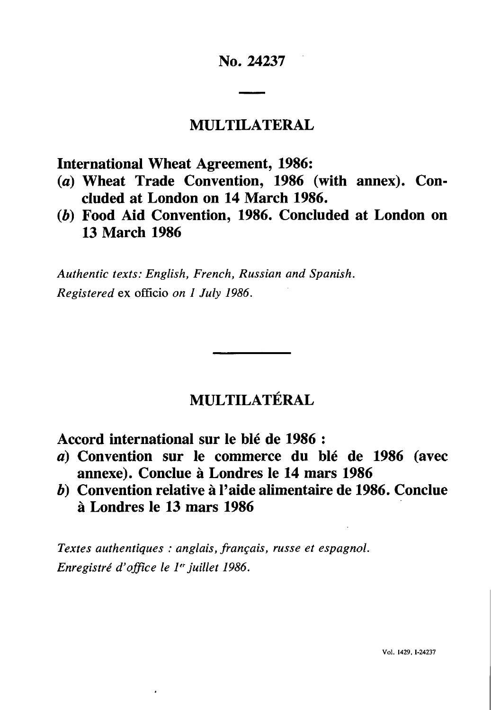# No. 24237

# **MULTILATERAL**

**International Wheat Agreement, 1986:**

- **(a) Wheat Trade Convention, 1986 (with annex). Con cluded at London on 14 March 1986.**
- *(b)* **Food Aid Convention, 1986. Concluded at London on 13 March 1986**

*Authentic texts: English, French, Russian and Spanish. Registered* ex officio *on 1 July 1986.*

# **MULTILATERAL**

**Accord international sur le blé de 1986 :**

- **a) Convention sur le commerce du blé de 1986 (avec annexe). Conclue à Londres le 14 mars 1986**
- *b)* **Convention relative à l'aide alimentaire de 1986. Conclue à Londres le 13 mars 1986**

*Textes authentiques : anglais, français, russe et espagnol. Enregistré d'office le 1" juillet 1986.*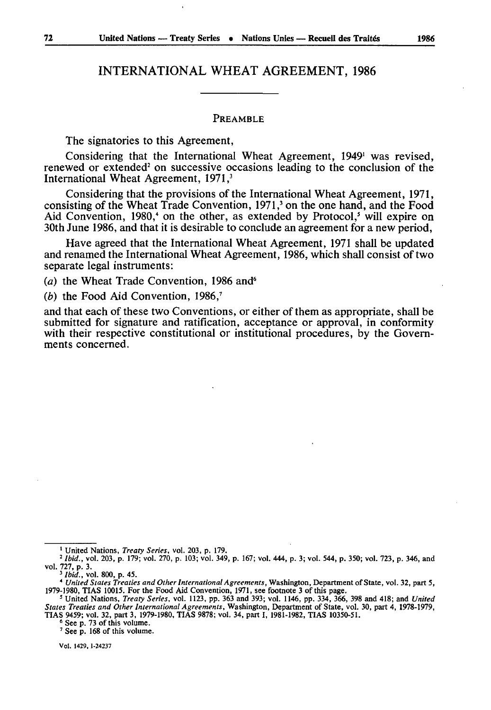# INTERNATIONAL WHEAT AGREEMENT, 1986

#### PREAMBLE

The signatories to this Agreement,

Considering that the International Wheat Agreement, 1949' was revised, renewed or extended<sup>2</sup> on successive occasions leading to the conclusion of the International Wheat Agreement, 1971,<sup>3</sup>

Considering that the provisions of the International Wheat Agreement, 1971, consisting of the Wheat Trade Convention,  $1971<sup>3</sup>$  on the one hand, and the Food Aid Convention, 1980,<sup>4</sup> on the other, as extended by Protocol,<sup>5</sup> will expire on 30th June 1986, and that it is desirable to conclude an agreement for a new period,

Have agreed that the International Wheat Agreement, 1971 shall be updated and renamed the International Wheat Agreement, 1986, which shall consist of two separate legal instruments:

(a) the Wheat Trade Convention, 1986 and<sup>6</sup>

(b) the Food Aid Convention, 1986,<sup>7</sup>

and that each of these two Conventions, or either of them as appropriate, shall be submitted for signature and ratification, acceptance or approval, in conformity with their respective constitutional or institutional procedures, by the Govern ments concerned.

<sup>1</sup> United Nations, *Treaty Series,* vol. 203, p. 179.

<sup>2</sup>*Ibid.,* vol. 203, p. 179; vol. 270, p. 103; vol. 349, p. 167; vol. 444, p. 3; vol. 544, p. 350; vol. 723, p. 346, and vol. 727, p. 3.

<sup>3</sup>*Ibid.,* vol. 800, p. 45.

*<sup>4</sup> United States Treaties and Other International Agreements,* Washington, Department of State, vol. 32, part 5, 1979-1980, TIAS 10015. For the Food Aid Convention, 1971, see footnote 3 of this page.

<sup>5</sup> United Nations, *Treaty Series,* vol. 1123, pp. 363 and 393; vol. 1146, pp. 334, 366, 398 and 418; and *United*  States Treaties and Other International Agreements, Washington, Department of State, vol. 30, part 4, 1978-1979, TIAS 9459; vol. 32, part 3, 1979-1980, TIAS 9878; vol. 34, part I, 1981-1982, TIAS 10350-51.<br>6 See p. 73 of t

<sup>7</sup> See p. 168 of this volume.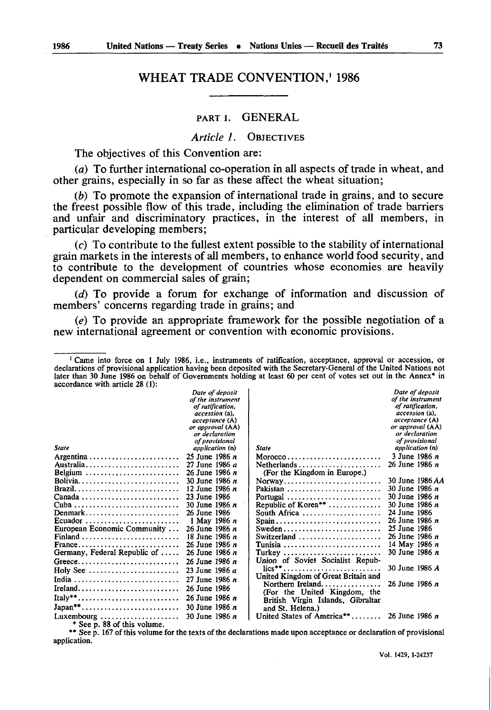# WHEAT TRADE CONVENTION,<sup>1</sup> 1986

# PART i. GENERAL

# *Article 1.* OBJECTIVES

The objectives of this Convention are:

*(a)* To further international co-operation in all aspects of trade in wheat, and other grains, especially in so far as these affect the wheat situation;

*(b)* To promote the expansion of international trade in grains, and to secure the freest possible flow of this trade, including the elimination of trade barriers and unfair and discriminatory practices, in the interest of all members, in particular developing members;

(c) To contribute to the fullest extent possible to the stability of international grain markets in the interests of all members, to enhance world food security, and to contribute to the development of countries whose economies are heavily dependent on commercial sales of grain;

*(d)* To provide a forum for exchange of information and discussion of members' concerns regarding trade in grains; and

*(é)* To provide an appropriate framework for the possible negotiation of a new international agreement or convention with economic provisions.

declarations of provisional application having been deposited with the Secretary-General of the United Nations not later than 30 June 1986 on behalf of Governments holding at least 60 per cent of votes set out in the Annex\* in accordance with article 28 (1): *Date of deposit of the instrument of ratification, accession* (a), *acceptance* (A) *or approval* (AA) *or declaration of provisional application* (n) *Date of deposit of the instrument of ratification, accession* (a), *acceptance* (A) *or approval* (AA) *or declaration of provisional State application* (n) Argentina ........................ 25 June 1986 *<sup>n</sup>* Australia......................... 27 June 1986 *<sup>a</sup>* Belgium ......................... 26 June 1986 *<sup>n</sup>* Bolivia........................... 30 June 1986 *<sup>n</sup>* Brazil............................ 12 June 1986 *<sup>n</sup>* Canada .......................... 23 June 1986 Cuba ............................ 30 June 1986 *<sup>n</sup>* Denmark......................... 26 June 1986 Ecuador ......................... 1 May 1986 *<sup>n</sup>* European Economic Community ... 26 June 1986 n Finland .......................... 18 June 1986 « France........................... 26 June 1986 *<sup>n</sup>* Germany, Federal Republic of ..... 26 June 1986 *<sup>n</sup>* Germany, Federal Republic of ..... 26 June 1986 *n*<br>Greece................................ 26 June 1986 *n*<br>Holy See ................................ 23 June 1986 *a* Holy See .......................... *State* Morocco......................... 3 June 1986 *<sup>n</sup>* Netherlands ...................... (For the Kingdom in Europe.) Norway.......................... 30 June 1986AA Pakistan ......................... 30 June 1986 *<sup>n</sup>* Portugal ......................... 30 June 1986 *<sup>n</sup>* Republic of Korea\*\* .............. 30 June 1986 n South Africa ..................... 24 June 1986 Spain............................ 26 June 1986 *<sup>n</sup>* Sweden.......................... 25 June 1986 Switzerland ...................... 26 June 1986 *<sup>n</sup>* Tunisia .......................... 14 May 1986 *<sup>n</sup>* Turkey .......................... Union of Soviet Socialist Repub-<br>lics\*\*............................. lics\*\* .......................... 30 June 1986 *<sup>A</sup>* United Kingdom of Great Britain and

*'* See p. 88 of this volume.

India ............................ 27 June 1986 *<sup>n</sup>* Ireland........................... 26 June 1986 Italy\*\*........................... 26 June 1986 n Japan\*\*.......................... 30 June 1986 *<sup>n</sup>* Luxembourg ..................... 30 June 1986 *<sup>n</sup>*

\*\* See p. 167 of this volume for the texts of the declarations made upon acceptance or declaration of provisional application.

Vol. 1429, 1-24237

Northern Ireland................ 26 June 1986 n

United States of America\*\*........ 26 June 1986 *n*

(For the United Kingdom, the British Virgin Islands, Gibraltar

and St. Helena.)

| <sup>1</sup> Came into force on 1 July 1986, i.e., instruments of ratification, acceptance, approval or accession, or       |
|-----------------------------------------------------------------------------------------------------------------------------|
| declarations of provisional application having been deposited with the Secretary-General of the United Nations not          |
| later than 30 June 1986 on behalf of Governments holding at least 60 per cent of votes set out in the Annex <sup>*</sup> in |
|                                                                                                                             |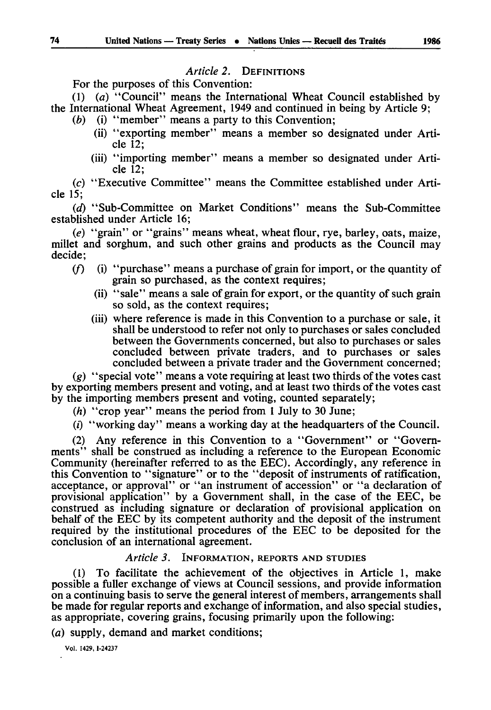# *Article 2.* DEFINITIONS

For the purposes of this Convention:

(1) *(a)* "Council" means the International Wheat Council established by the International Wheat Agreement, 1949 and continued in being by Article 9;

- *(b)* (i) "member" means a party to this Convention;
	- (ii) "exporting member" means a member so designated under Arti cle 12;
	- (iii) "importing member" means a member so designated under Arti cle 12;

(c) "Executive Committee" means the Committee established under Arti cle 15;

*(d)* "Sub-Committee on Market Conditions" means the Sub-Committee established under Article 16;

*(e)* "grain" or "grains" means wheat, wheat flour, rye, barley, oats, maize, millet and sorghum, and such other grains and products as the Council may decide;

- $(f)$  (i) "purchase" means a purchase of grain for import, or the quantity of grain so purchased, as the context requires;
	- (ii) "sale" means a sale of grain for export, or the quantity of such grain so sold, as the context requires;
	- (iii) where reference is made in this Convention to a purchase or sale, it shall be understood to refer not only to purchases or sales concluded between the Governments concerned, but also to purchases or sales concluded between private traders, and to purchases or sales concluded between a private trader and the Government concerned;

*(g)* "special vote" means a vote requiring at least two thirds of the votes cast by exporting members present and voting, and at least two thirds of the votes cast by the importing members present and voting, counted separately;

*(h)* "crop year" means the period from 1 July to 30 June;

 $(i)$  "working day" means a working day at the headquarters of the Council.

(2) Any reference in this Convention to a "Government" or "Govern ments" shall be construed as including a reference to the European Economic Community (hereinafter referred to as the EEC). Accordingly, any reference in this Convention to "signature" or to the "deposit of instruments of ratification, acceptance, or approval" or "an instrument of accession" or "a declaration of provisional application" by a Government shall, in the case of the EEC, be construed as including signature or declaration of provisional application on behalf of the EEC by its competent authority and the deposit of the instrument required by the institutional procedures of the EEC to be deposited for the conclusion of an international agreement.

#### *Article 3.* INFORMATION, REPORTS AND STUDIES

(1) To facilitate the achievement of the objectives in Article 1, make possible a fuller exchange of views at Council sessions, and provide information on a continuing basis to serve the general interest of members, arrangements shall be made for regular reports and exchange of information, and also special studies, as appropriate, covering grains, focusing primarily upon the following:

*(d)* supply, demand and market conditions;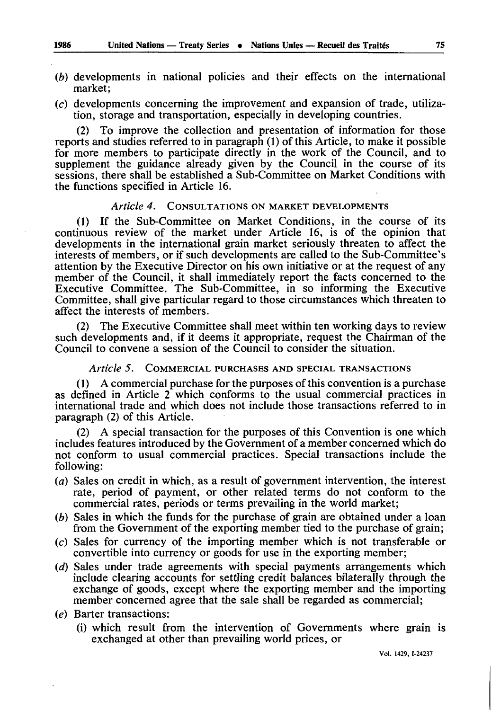- *(b)* developments in national policies and their effects on the international market;
- $(c)$  developments concerning the improvement and expansion of trade, utilization, storage and transportation, especially in developing countries.

To improve the collection and presentation of information for those reports and studies referred to in paragraph (1) of this Article, to make it possible for more members to participate directly in the work of the Council, and to supplement the guidance already given by the Council in the course of its sessions, there shall be established a Sub-Committee on Market Conditions with the functions specified in Article 16.

#### *Article 4.* CONSULTATIONS ON MARKET DEVELOPMENTS

(1) If the Sub-Committee on Market Conditions, in the course of its continuous review of the market under Article 16, is of the opinion that developments in the international grain market seriously threaten to affect the interests of members, or if such developments are called to the Sub-Committee's attention by the Executive Director on his own initiative or at the request of any member of the Council, it shall immediately report the facts concerned to the Executive Committee. The Sub-Committee, in so informing the Executive Committee, shall give particular regard to those circumstances which threaten to affect the interests of members.

(2) The Executive Committee shall meet within ten working days to review such developments and, if it deems it appropriate, request the Chairman of the Council to convene a session of the Council to consider the situation.

#### *Article 5.* COMMERCIAL PURCHASES AND SPECIAL TRANSACTIONS

(1) A commercial purchase for the purposes of this convention is a purchase as defined in Article 2 which conforms to the usual commercial practices in international trade and which does not include those transactions referred to in paragraph (2) of this Article.

(2) A special transaction for the purposes of this Convention is one which includes features introduced by the Government of a member concerned which do not conform to usual commercial practices. Special transactions include the following:

- *(a)* Sales on credit in which, as a result of government intervention, the interest rate, period of payment, or other related terms do not conform to the commercial rates, periods or terms prevailing in the world market;
- *(b)* Sales in which the funds for the purchase of grain are obtained under a loan from the Government of the exporting member tied to the purchase of grain;
- (c) Sales for currency of the importing member which is not transferable or convertible into currency or goods for use in the exporting member;
- *(d)* Sales under trade agreements with special payments arrangements which include clearing accounts for settling credit balances bilaterally through the exchange of goods, except where the exporting member and the importing member concerned agree that the sale shall be regarded as commercial;
- *(é)* Barter transactions:
	- (i) which result from the intervention of Governments where grain is exchanged at other than prevailing world prices, or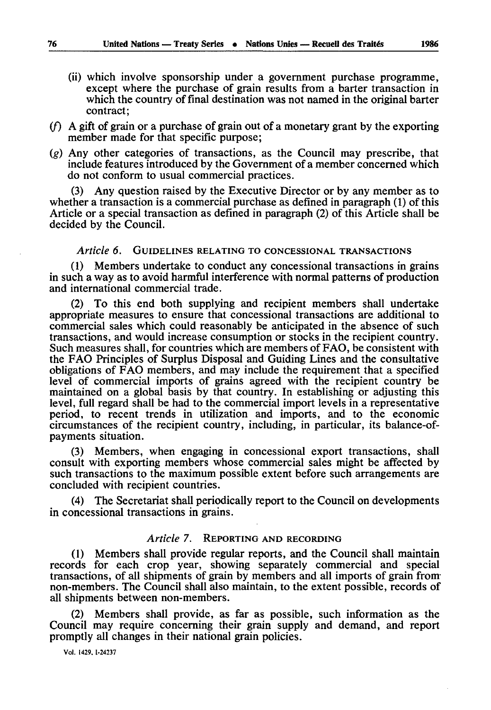- (ii) which involve sponsorship under a government purchase programme, except where the purchase of grain results from a barter transaction in which the country of final destination was not named in the original barter contract;
- *(f)* A gift of grain or a purchase of grain out of a monetary grant by the exporting member made for that specific purpose;
- *(g)* Any other categories of transactions, as the Council may prescribe, that include features introduced by the Government of a member concerned which do not conform to usual commercial practices.

Any question raised by the Executive Director or by any member as to whether a transaction is a commercial purchase as defined in paragraph (1) of this Article or a special transaction as defined in paragraph (2) of this Article shall be decided by the Council.

#### *Article 6.* GUIDELINES RELATING TO CONCESSIONAL TRANSACTIONS

(1) Members undertake to conduct any concessional transactions in grains in such a way as to avoid harmful interference with normal patterns of production and international commercial trade.

(2) To this end both supplying and recipient members shall undertake appropriate measures to ensure that concessional transactions are additional to commercial sales which could reasonably be anticipated in the absence of such transactions, and would increase consumption or stocks in the recipient country. Such measures shall, for countries which are members of FAO, be consistent with the FAO Principles of Surplus Disposal and Guiding Lines and the consultative obligations of FAO members, and may include the requirement that a specified level of commercial imports of grains agreed with the recipient country be maintained on a global basis by that country. In establishing or adjusting this level, full regard shall be had to the commercial import levels in a representative period, to recent trends in utilization and imports, and to the economic circumstances of the recipient country, including, in particular, its balance-ofpayments situation.

(3) Members, when engaging in concessional export transactions, shall consult with exporting members whose commercial sales might be affected by such transactions to the maximum possible extent before such arrangements are concluded with recipient countries.

(4) The Secretariat shall periodically report to the Council on developments in concessional transactions in grains.

#### *Article 7.* REPORTING AND RECORDING

(1) Members shall provide regular reports, and the Council shall maintain records for each crop year, showing separately commercial and special transactions, of all shipments of grain by members and all imports of grain from non-members. The Council shall also maintain, to the extent possible, records of all shipments between non-members.

(2) Members shall provide, as far as possible, such information as the Council may require concerning their grain supply and demand, and report promptly all changes in their national grain policies.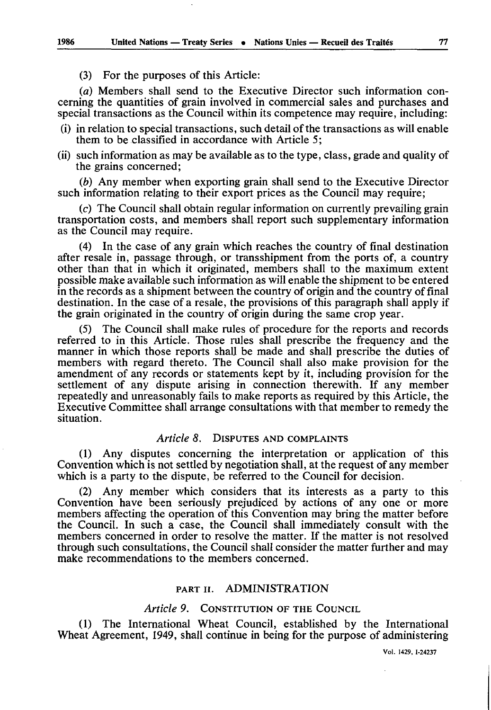(3) For the purposes of this Article:

*(a)* Members shall send to the Executive Director such information con cerning the quantities of grain involved in commercial sales and purchases and special transactions as the Council within its competence may require, including:

- (i) in relation to special transactions, such detail of the transactions as will enable them to be classified in accordance with Article 5;
- (ii) such information as may be available as to the type, class, grade and quality of the grains concerned;

*(b)* Any member when exporting grain shall send to the Executive Director such information relating to their export prices as the Council may require;

(c) The Council shall obtain regular information on currently prevailing grain transportation costs, and members shall report such supplementary information as the Council may require.

(4) In the case of any grain which reaches the country of final destination after resale in, passage through, or transshipment from the ports of, a country other than that in which it originated, members shall to the maximum extent possible make available such information as will enable the shipment to be entered in the records as a shipment between the country of origin and the country of final destination. In the case of a resale, the provisions of this paragraph shall apply if the grain originated in the country of origin during the same crop year.

The Council shall make rules of procedure for the reports and records referred to in this Article. Those rules shall prescribe the frequency and the manner in which those reports shall be made and shall prescribe the duties of members with regard thereto. The Council shall also make provision for the amendment of any records or statements kept by it, including provision for the settlement of any dispute arising in connection therewith. If any member repeatedly and unreasonably fails to make reports as required by this Article, the Executive Committee shall arrange consultations with that member to remedy the situation.

#### *Article 8.* DISPUTES AND COMPLAINTS

(1) Any disputes concerning the interpretation or application of this Convention which is not settled by negotiation shall, at the request of any member which is a party to the dispute, be referred to the Council for decision.

(2) Any member which considers that its interests as a party to this Convention have been seriously prejudiced by actions of any one or more members affecting the operation of this Convention may bring the matter before the Council. In such a case, the Council shall immediately consult with the members concerned in order to resolve the matter. If the matter is not resolved through such consultations, the Council shall consider the matter further and may make recommendations to the members concerned.

#### PART II. ADMINISTRATION

# *Article 9.* CONSTITUTION OF THE COUNCIL

(1) The International Wheat Council, established by the International Wheat Agreement, 1949, shall continue in being for the purpose of administering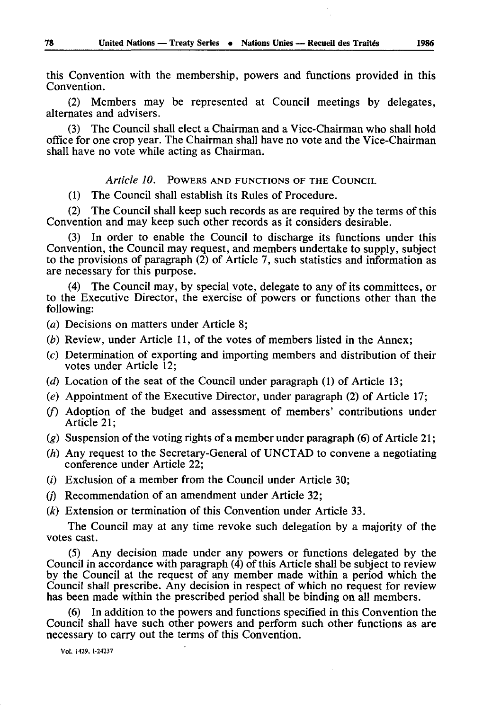this Convention with the membership, powers and functions provided in this Convention.

(2) Members may be represented at Council meetings by delegates, alternates and advisers.

(3) The Council shall elect a Chairman and a Vice-Chairman who shall hold office for one crop year. The Chairman shall have no vote and the Vice-Chairman shall have no vote while acting as Chairman.

#### *Article 10.* POWERS AND FUNCTIONS OF THE COUNCIL

(1) The Council shall establish its Rules of Procedure.

(2) The Council shall keep such records as are required by the terms of this Convention and may keep such other records as it considers desirable.

(3) In order to enable the Council to discharge its functions under this Convention, the Council may request, and members undertake to supply, subject to the provisions of paragraph (2) of Article 7, such statistics and information as are necessary for this purpose.

(4) The Council may, by special vote, delegate to any of its committees, or to the Executive Director, the exercise of powers or functions other than the following:

*(a)* Decisions on matters under Article 8;

- *(b)* Review, under Article 11, of the votes of members listed in the Annex;
- (c) Determination of exporting and importing members and distribution of their votes under Article 12;
- *(d)* Location of the seat of the Council under paragraph (1) of Article 13;
- *(e)* Appointment of the Executive Director, under paragraph (2) of Article 17;
- (/) Adoption of the budget and assessment of members' contributions under Article 21;
- *(g)* Suspension of the voting rights of a member under paragraph (6) of Article 21 ;
- *(h)* Any request to the Secretary-General of UNCTAD to convene a negotiating conference under Article 22;
- $(i)$  Exclusion of a member from the Council under Article 30;
- $(i)$  Recommendation of an amendment under Article 32;
- *(k)* Extension or termination of this Convention under Article 33.

The Council may at any time revoke such delegation by a majority of the votes cast.

(5) Any decision made under any powers or functions delegated by the Council in accordance with paragraph (4) of this Article shall be subject to review by the Council at the request of any member made within a period which the Council shall prescribe. Any decision in respect of which no request for review has been made within the prescribed period shall be binding on all members.

(6) In addition to the powers and functions specified in this Convention the Council shall have such other powers and perform such other functions as are necessary to carry out the terms of this Convention.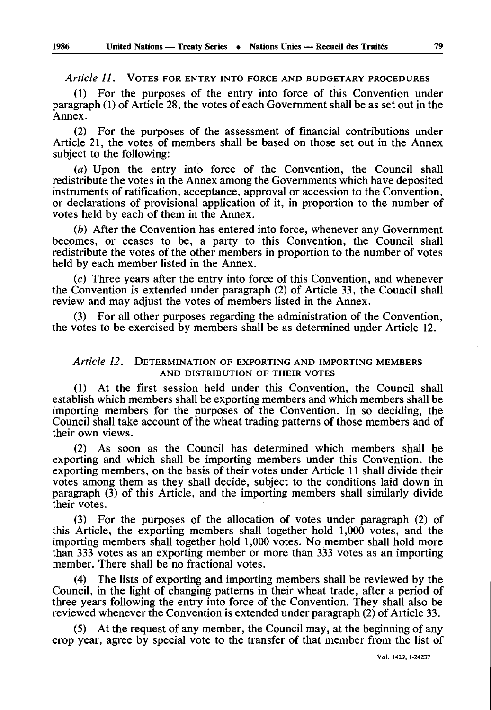# *Article 11.* VOTES FOR ENTRY INTO FORCE AND BUDGETARY PROCEDURES

(1) For the purposes of the entry into force of this Convention under paragraph (1) of Article 28, the votes of each Government shall be as set out in the Annex.

(2) For the purposes of the assessment of financial contributions under Article 21, the votes of members shall be based on those set out in the Annex subject to the following:

*(a)* Upon the entry into force of the Convention, the Council shall redistribute the votes in the Annex among the Governments which have deposited instruments of ratification, acceptance, approval or accession to the Convention, or declarations of provisional application of it, in proportion to the number of votes held by each of them in the Annex.

*(b)* After the Convention has entered into force, whenever any Government becomes, or ceases to be, a party to this Convention, the Council shall redistribute the votes of the other members in proportion to the number of votes held by each member listed in the Annex.

(c) Three years after the entry into force of this Convention, and whenever the Convention is extended under paragraph (2) of Article 33, the Council shall review and may adjust the votes of members listed in the Annex.

(3) For all other purposes regarding the administration of the Convention, the votes to be exercised by members shall be as determined under Article 12.

#### *Article 12.* DETERMINATION OF EXPORTING AND IMPORTING MEMBERS **AND DISTRIBUTION OF THEIR VOTES**

(1) At the first session held under this Convention, the Council shall establish which members shall be exporting members and which members shall be importing members for the purposes of the Convention. In so deciding, the Council shall take account of the wheat trading patterns of those members and of their own views.

(2) As soon as the Council has determined which members shall be exporting and which shall be importing members under this Convention, the exporting members, on the basis of their votes under Article 11 shall divide their votes among them as they shall decide, subject to the conditions laid down in paragraph (3) of this Article, and the importing members shall similarly divide their votes.

(3) For the purposes of the allocation of votes under paragraph (2) of this Article, the exporting members shall together hold 1,000 votes, and the importing members shall together hold 1,000 votes. No member shall hold more than 333 votes as an exporting member or more than 333 votes as an importing member. There shall be no fractional votes.

(4) The lists of exporting and importing members shall be reviewed by the Council, in the light of changing patterns in their wheat trade, after a period of three years following the entry into force of the Convention. They shall also be reviewed whenever the Convention is extended under paragraph (2) of Article 33.

(5) At the request of any member, the Council may, at the beginning of any crop year, agree by special vote to the transfer of that member from the list of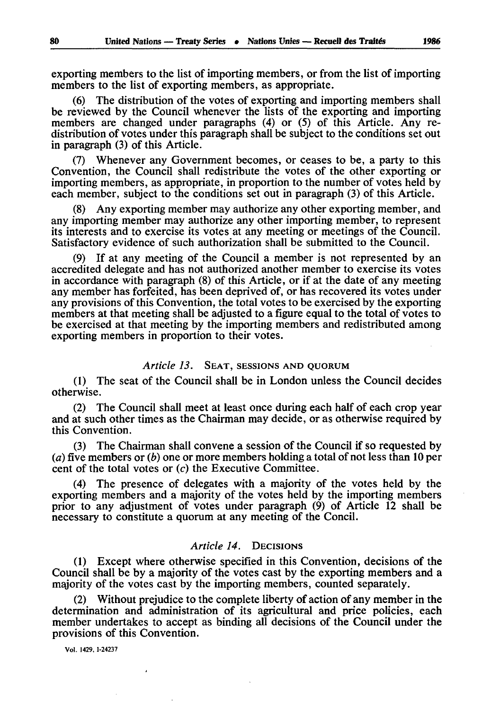exporting members to the list of importing members, or from the list of importing members to the list of exporting members, as appropriate.

(6) The distribution of the votes of exporting and importing members shall be reviewed by the Council whenever the lists of the exporting and importing members are changed under paragraphs (4) or (5) of this Article. Any re distribution of votes under this paragraph shall be subject to the conditions set out in paragraph (3) of this Article.

(7) Whenever any Government becomes, or ceases to be, a party to this Convention, the Council shall redistribute the votes of the other exporting or importing members, as appropriate, in proportion to the number of votes held by each member, subject to the conditions set out in paragraph (3) of this Article.

(8) Any exporting member may authorize any other exporting member, and any importing member may authorize any other importing member, to represent its interests and to exercise its votes at any meeting or meetings of the Council. Satisfactory evidence of such authorization shall be submitted to the Council.

(9) If at any meeting of the Council a member is not represented by an accredited delegate and has not authorized another member to exercise its votes in accordance with paragraph (8) of this Article, or if at the date of any meeting any member has forfeited, has been deprived of, or has recovered its votes under any provisions of this Convention, the total votes to be exercised by the exporting members at that meeting shall be adjusted to a figure equal to the total of votes to be exercised at that meeting by the importing members and redistributed among exporting members in proportion to their votes.

# *Article 13.* SEAT, SESSIONS AND QUORUM

(1) The seat of the Council shall be in London unless the Council decides otherwise.

(2) The Council shall meet at least once during each half of each crop year and at such other times as the Chairman may decide, or as otherwise required by this Convention.

(3) The Chairman shall convene a session of the Council if so requested by *(a)* five members or *(b)* one or more members holding a total of not less than 10 per cent of the total votes or (c) the Executive Committee.

(4) The presence of delegates with a majority of the votes held by the exporting members and a majority of the votes held by the importing members prior to any adjustment of votes under paragraph (9) of Article 12 shall be necessary to constitute a quorum at any meeting of the Concil.

#### *Article 14.* DECISIONS

(1) Except where otherwise specified in this Convention, decisions of the Council shall be by a majority of the votes cast by the exporting members and a majority of the votes cast by the importing members, counted separately.

(2) Without prejudice to the complete liberty of action of any member in the determination and administration of its agricultural and price policies, each member undertakes to accept as binding all decisions of the Council under the provisions of this Convention.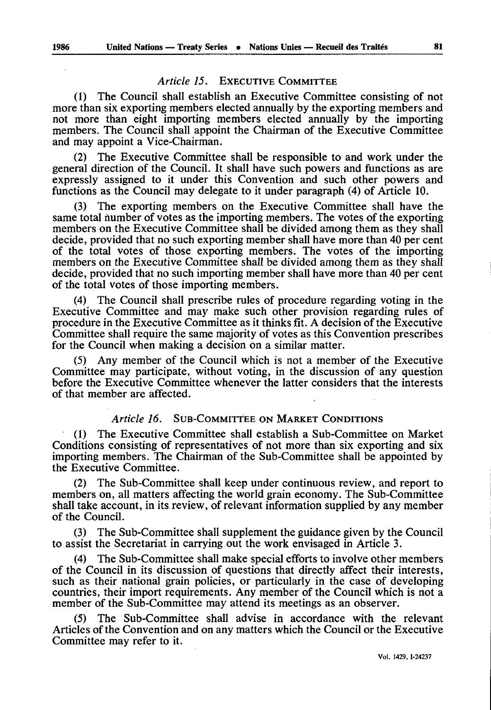#### *Article 15.* EXECUTIVE COMMITTEE

(1) The Council shall establish an Executive Committee consisting of not more than six exporting members elected annually by the exporting members and not more than eight importing members elected annually by the importing members. The Council shall appoint the Chairman of the Executive Committee and may appoint a Vice-Chairman.

(2) The Executive Committee shall be responsible to and work under the general direction of the Council. It shall have such powers and functions as are expressly assigned to it under this Convention and such other powers and functions as the Council may delegate to it under paragraph (4) of Article 10.

The exporting members on the Executive Committee shall have the same total number of votes as the importing members. The votes of the exporting members on the Executive Committee shall be divided among them as they shall decide, provided that no such exporting member shall have more than 40 per cent of the total votes of those exporting members. The votes of the importing members on the Executive Committee shall be divided among them as they shall decide, provided that no such importing member shall have more than 40 per cent of the total votes of those importing members.

(4) The Council shall prescribe rules of procedure regarding voting in the Executive Committee and may make such other provision regarding rules of procedure in the Executive Committee as it thinks fit. A decision of the Executive Committee shall require the same majority of votes as this Convention prescribes for the Council when making a decision on a similar matter.

(5) Any member of the Council which is not a member of the Executive Committee may participate, without voting, in the discussion of any question before the Executive Committee whenever the latter considers that the interests of that member are affected.

#### *Article 16.* SUB-COMMITTEE ON MARKET CONDITIONS

(1) The Executive Committee shall establish a Sub-Committee on Market Conditions consisting of representatives of not more than six exporting and six importing members. The Chairman of the Sub-Committee shall be appointed by the Executive Committee.

(2) The Sub-Committee shall keep under continuous review, and report to members on, all matters affecting the world grain economy. The Sub-Committee shall take account, in its review, of relevant information supplied by any member of the Council.

(3) The Sub-Committee shall supplement the guidance given by the Council to assist the Secretariat in carrying out the work envisaged in Article 3.

(4) The Sub-Committee shall make special efforts to involve other members of the Council in its discussion of questions that directly affect their interests, such as their national grain policies, or particularly in the case of developing countries, their import requirements. Any member of the Council which is not a member of the Sub-Committee may attend its meetings as an observer.

The Sub-Committee shall advise in accordance with the relevant Articles of the Convention and on any matters which the Council or the Executive Committee may refer to it.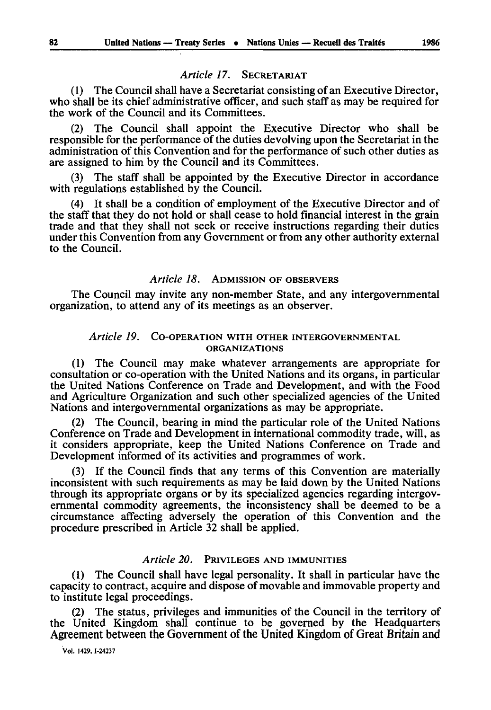#### *Article 17.* SECRETARIAT

(1) The Council shall have a Secretariat consisting of an Executive Director, who shall be its chief administrative officer, and such staff as may be required for the work of the Council and its Committees.

(2) The Council shall appoint the Executive Director who shall be responsible for the performance of the duties devolving upon the Secretariat in the administration of this Convention and for the performance of such other duties as are assigned to him by the Council and its Committees.

(3) The staff shall be appointed by the Executive Director in accordance with regulations established by the Council.

(4) It shall be a condition of employment of the Executive Director and of the staff that they do not hold or shall cease to hold financial interest in the grain trade and that they shall not seek or receive instructions regarding their duties under this Convention from any Government or from any other authority external to the Council.

# *Article 18.* ADMISSION OF OBSERVERS

The Council may invite any non-member State, and any intergovernmental organization, to attend any of its meetings as an observer.

#### *Article 19.* CO-OPERATION WITH OTHER INTERGOVERNMENTAL **ORGANIZATIONS**

(1) The Council may make whatever arrangements are appropriate for consultation or co-operation with the United Nations and its organs, in particular the United Nations Conference on Trade and Development, and with the Food and Agriculture Organization and such other specialized agencies of the United Nations and intergovernmental organizations as may be appropriate.

(2) The Council, bearing in mind the particular role of the United Nations Conference on Trade and Development in international commodity trade, will, as it considers appropriate, keep the United Nations Conference on Trade and Development informed of its activities and programmes of work.

(3) If the Council finds that any terms of this Convention are materially inconsistent with such requirements as may be laid down by the United Nations through its appropriate organs or by its specialized agencies regarding intergov ernmental commodity agreements, the inconsistency shall be deemed to be a circumstance affecting adversely the operation of this Convention and the procedure prescribed in Article 32 shall be applied.

#### *Article 20.* PRIVILEGES AND IMMUNITIES

(1) The Council shall have legal personality. It shall in particular have the capacity to contract, acquire and dispose of movable and immovable property and to institute legal proceedings.

(2) The status, privileges and immunities of the Council in the territory of the United Kingdom shall continue to be governed by the Headquarters Agreement between the Government of the United Kingdom of Great Britain and

Vol. 1429.1-24237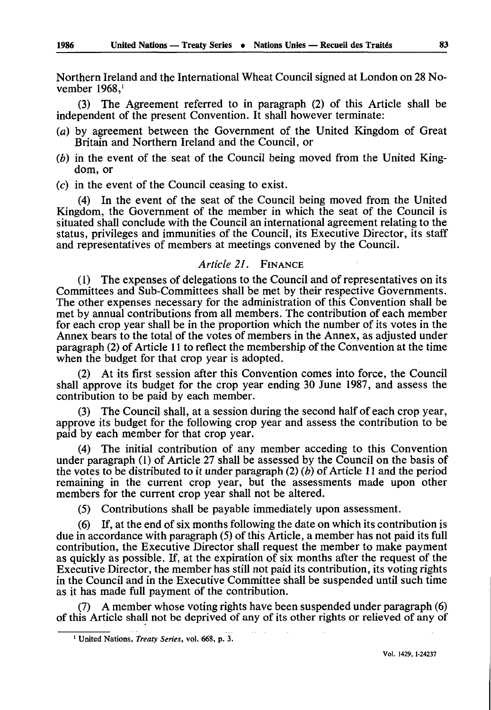Northern Ireland and the International Wheat Council signed at London on 28 No vember 1968,'

(3) The Agreement referred to in paragraph (2) of this Article shall be independent of the present Convention. It shall however terminate:

- *(a)* by agreement between the Government of the United Kingdom of Great Britain and Northern Ireland and the Council, or
- *(b)* in the event of the seat of the Council being moved from the United King dom, or
- (c) in the event of the Council ceasing to exist.

(4) In the event of the seat of the Council being moved from the United Kingdom, the Government of the member in which the seat of the Council is situated shall conclude with the Council an international agreement relating to the status, privileges and immunities of the Council, its Executive Director, its staff and representatives of members at meetings convened by the Council.

# *Article 21.* FINANCE

(1) The expenses of delegations to the Council and of representatives on its Committees and Sub-Committees shall be met by their respective Governments. The other expenses necessary for the administration of this Convention shall be met by annual contributions from all members. The contribution of each member for each crop year shall be in the proportion which the number of its votes in the Annex bears to the total of the votes of members in the Annex, as adjusted under paragraph (2) of Article 11 to reflect the membership of the Convention at the time when the budget for that crop year is adopted.

(2) At its first session after this Convention comes into force, the Council shall approve its budget for the crop year ending 30 June 1987, and assess the contribution to be paid by each member.

(3) The Council shall, at a session during the second half of each crop year, approve its budget for the following crop year and assess the contribution to be paid by each member for that crop year.

(4) The initial contribution of any member acceding to this Convention under paragraph (1) of Article 27 shall be assessed by the Council on the basis of the votes to be distributed to it under paragraph (2) *(b)* of Article 11 and the period remaining in the current crop year, but the assessments made upon other members for the current crop year shall not be altered.

(5) Contributions shall be payable immediately upon assessment.

(6) If, at the end of six months following the date on which its contribution is due in accordance with paragraph (5) of this Article, a member has not paid its full contribution, the Executive Director shall request the member to make payment as quickly as possible. If, at the expiration of six months after the request of the Executive Director, the member has still not paid its contribution, its voting rights in the Council and in the Executive Committee shall be suspended until such time as it has made full payment of the contribution.

(7) A member whose voting rights have been suspended under paragraph (6) of this Article shall not be deprived of any of its other rights or relieved of any of

<sup>1</sup> United Nations, *Treaty Series,* vol. 668, p. 3.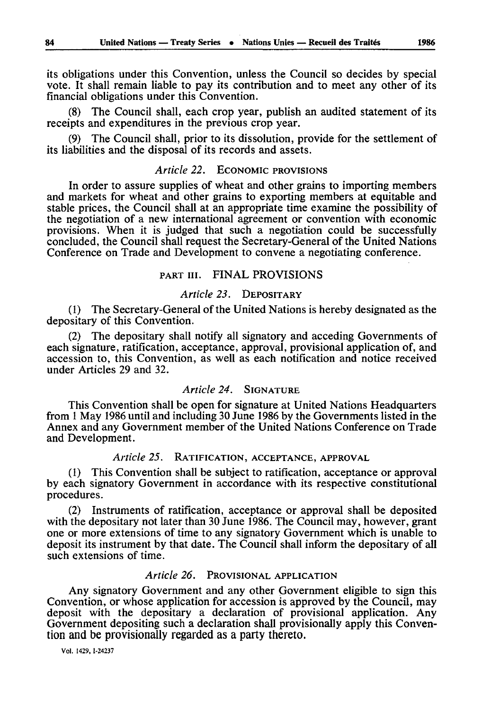its obligations under this Convention, unless the Council so decides by special vote. It shall remain liable to pay its contribution and to meet any other of its financial obligations under this Convention.

(8) The Council shall, each crop year, publish an audited statement of its receipts and expenditures in the previous crop year.

The Council shall, prior to its dissolution, provide for the settlement of its liabilities and the disposal of its records and assets.

# *Article 22.* ECONOMIC PROVISIONS

In order to assure supplies of wheat and other grains to importing members and markets for wheat and other grains to exporting members at equitable and stable prices, the Council shall at an appropriate time examine the possibility of the negotiation of a new international agreement or convention with economic provisions. When it is judged that such a negotiation could be successfully concluded, the Council shall request the Secretary-General of the United Nations Conference on Trade and Development to convene a negotiating conference.

# PART III. FINAL PROVISIONS

# *Article 23.* DEPOSITARY

( 1 ) The Secretary-General of the United Nations is hereby designated as the depositary of this Convention.

(2) The depositary shall notify all signatory and acceding Governments of each signature, ratification, acceptance, approval, provisional application of, and accession to, this Convention, as well as each notification and notice received under Articles 29 and 32.

# *Article 24.* SIGNATURE

This Convention shall be open for signature at United Nations Headquarters from 1 May 1986 until and including 30 June 1986 by the Governments listed in the Annex and any Government member of the United Nations Conference on Trade and Development.

#### *Article 25.* RATIFICATION, ACCEPTANCE, APPROVAL

(1) This Convention shall be subject to ratification, acceptance or approval by each signatory Government in accordance with its respective constitutional procedures.

(2) Instruments of ratification, acceptance or approval shall be deposited with the depositary not later than 30 June 1986. The Council may, however, grant one or more extensions of time to any signatory Government which is unable to deposit its instrument by that date. The Council shall inform the depositary of all such extensions of time.

# *Article 26.* PROVISIONAL APPLICATION

Any signatory Government and any other Government eligible to sign this Convention, or whose application for accession is approved by the Council, may deposit with the depositary a declaration of provisional application. Any Government depositing such a declaration shall provisionally apply this Conven tion and be provisionally regarded as a party thereto.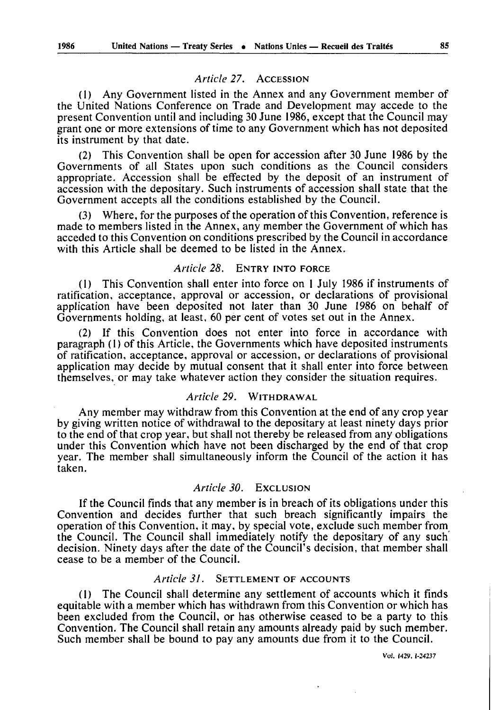#### *Article 27.* ACCESSION

(1) Any Government listed in the Annex and any Government member of the United Nations Conference on Trade and Development may accede to the present Convention until and including 30 June 1986, except that the Council may grant one or more extensions of time to any Government which has not deposited its instrument by that date.

(2) This Convention shall be open for accession after 30 June 1986 by the Governments of all States upon such conditions as the Council considers appropriate. Accession shall be effected by the deposit of an instrument of accession with the depositary. Such instruments of accession shall state that the Government accepts all the conditions established by the Council.

(3) Where, for the purposes of the operation of this Convention, reference is made to members listed in the Annex, any member the Government of which has acceded to this Convention on conditions prescribed by the Council in accordance with this Article shall be deemed to be listed in the Annex.

#### *Article 28.* ENTRY INTO FORCE

(1) This Convention shall enter into force on 1 July 1986 if instruments of ratification, acceptance, approval or accession, or declarations of provisional application have been deposited not later than 30 June 1986 on behalf of Governments holding, at least, 60 per cent of votes set out in the Annex.

(2) If this Convention does not enter into force in accordance with paragraph (1) of this Article, the Governments which have deposited instruments of ratification, acceptance, approval or accession, or declarations of provisional application may decide by mutual consent that it shall enter into force between themselves, or may take whatever action they consider the situation requires.

## *Article 29.* WITHDRAWAL

Any member may withdraw from this Convention at the end of any crop year by giving written notice of withdrawal to the depositary at least ninety days prior to the end of that crop year, but shall not thereby be released from any obligations under this Convention which have not been discharged by the end of that crop year. The member shall simultaneously inform the Council of the action it has taken.

#### *Article 30.* EXCLUSION

If the Council finds that any member is in breach of its obligations under this Convention and decides further that such breach significantly impairs the operation of this Convention, it may, by special vote, exclude such member from the Council. The Council shall immediately notify the depositary of any such decision. Ninety days after the date of the Council's decision, that member shall cease to be a member of the Council.

# *Article 31.* SETTLEMENT OF ACCOUNTS

(1) The Council shall determine any settlement of accounts which it finds equitable with a member which has withdrawn from this Convention or which has been excluded from the Council, or has otherwise ceased to be a party to this Convention. The Council shall retain any amounts already paid by such member. Such member shall be bound to pay any amounts due from it to the Council.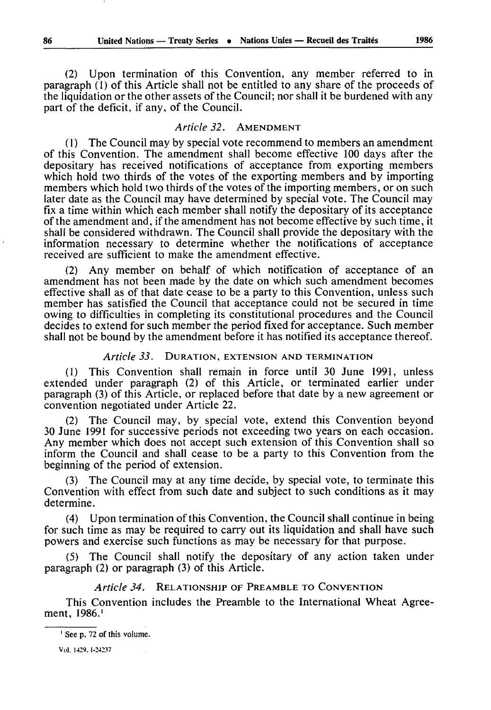(2) Upon termination of this Convention, any member referred to in paragraph (1) of this Article shall not be entitled to any share of the proceeds of the liquidation or the other assets of the Council; nor shall it be burdened with any part of the deficit, if any, of the Council.

#### *Article 32.* AMENDMENT

(1) The Council may by special vote recommend to members an amendment of this Convention. The amendment shall become effective 100 days after the depositary has received notifications of acceptance from exporting members which hold two thirds of the votes of the exporting members and by importing members which hold two thirds of the votes of the importing members, or on such later date as the Council may have determined by special vote. The Council may fix a time within which each member shall notify the depositary of its acceptance of the amendment and, if the amendment has not become effective by such time, it shall be considered withdrawn. The Council shall provide the depositary with the information necessary to determine whether the notifications of acceptance received are sufficient to make the amendment effective.

(2) Any member on behalf of which notification of acceptance of an amendment has not been made by the date on which such amendment becomes effective shall as of that date cease to be a party to this Convention, unless such member has satisfied the Council that acceptance could not be secured in time owing to difficulties in completing its constitutional procedures and the Council decides to extend for such member the period fixed for acceptance. Such member shall not be bound by the amendment before it has notified its acceptance thereof.

# *Article 33.* DURATION, EXTENSION AND TERMINATION

(1) This Convention shall remain in force until 30 June 1991, unless extended under paragraph (2) of this Article, or terminated earlier under paragraph (3) of this Article, or replaced before that date by a new agreement or convention negotiated under Article 22.

(2) The Council may, by special vote, extend this Convention beyond 30 June 1991 for successive periods not exceeding two years on each occasion. Any member which does not accept such extension of this Convention shall so inform the Council and shall cease to be a party to this Convention from the beginning of the period of extension.

(3) The Council may at any time decide, by special vote, to terminate this Convention with effect from such date and subject to such conditions as it may determine.

(4) Upon termination of this Convention, the Council shall continue in being for such time as may be required to carry out its liquidation and shall have such powers and exercise such functions as may be necessary for that purpose.

(5) The Council shall notify the depositary of any action taken under paragraph (2) or paragraph (3) of this Article.

# *Article 34.* RELATIONSHIP OF PREAMBLE TO CONVENTION

This Convention includes the Preamble to the International Wheat Agree ment, 1986.'

Vol. 1429. I-24237

<sup>&</sup>lt;sup>1</sup> See p. 72 of this volume.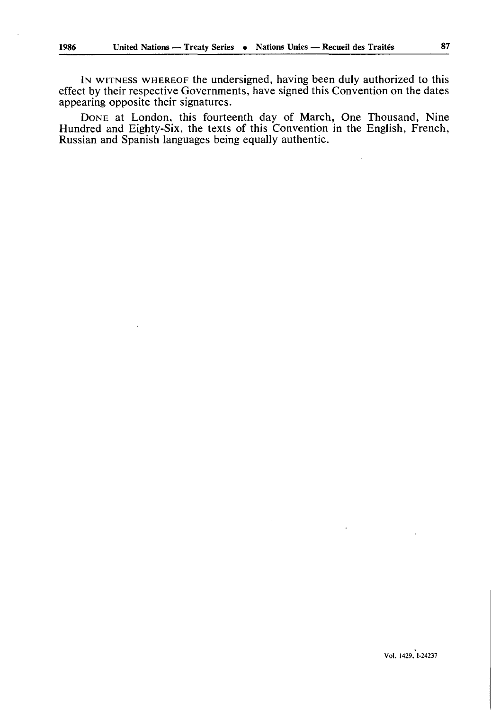IN WITNESS WHEREOF the undersigned, having been duly authorized to this effect by their respective Governments, have signed this Convention on the dates appearing opposite their signatures.

DONE at London, this fourteenth day of March, One Thousand, Nine Hundred and Eighty-Six, the texts of this Convention in the English, French, Russian and Spanish languages being equally authentic.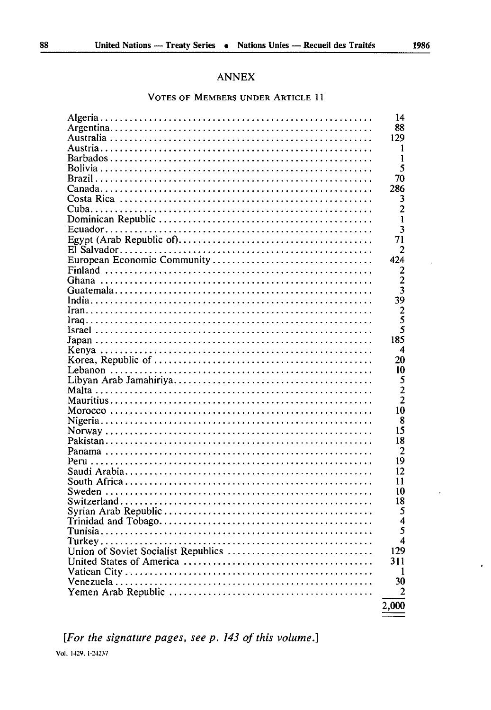# **ANNEX**

# **VOTES OF MEMBERS UNDER ARTICLE 11**

| Algeria                             | 14                      |
|-------------------------------------|-------------------------|
| Argentina                           | 88                      |
| Australia                           | 129                     |
| Austria                             | 1                       |
| Barbados.                           | 1                       |
| Bolivia                             | 5                       |
| Brazil                              | 70                      |
| Canada.                             | 286                     |
| Costa Rica                          | 3                       |
|                                     | $\overline{c}$          |
|                                     |                         |
|                                     | 1                       |
|                                     | 3                       |
|                                     | 71                      |
|                                     | 2                       |
| European Economic Community         | 424                     |
|                                     | 2                       |
|                                     | $\overline{2}$          |
|                                     | $\overline{\mathbf{3}}$ |
|                                     | 39                      |
| Iran.                               | $\frac{2}{5}$           |
|                                     |                         |
| Israel                              | 5                       |
|                                     | 185                     |
|                                     | 4                       |
|                                     | 20                      |
| Lebanon                             | 10                      |
|                                     | 5                       |
|                                     | $\overline{c}$          |
|                                     | $\overline{2}$          |
|                                     | 10                      |
|                                     | 8                       |
|                                     | 15                      |
|                                     | 18                      |
|                                     |                         |
| Panama                              | $\overline{c}$          |
|                                     | 19                      |
|                                     | 12                      |
|                                     | 11                      |
| Sweden                              | 10                      |
|                                     | 18                      |
|                                     | 5                       |
|                                     | $\overline{4}$          |
|                                     | 5                       |
|                                     | 4                       |
| Union of Soviet Socialist Republics | 129                     |
|                                     | 311                     |
|                                     | -1                      |
|                                     | 30                      |
|                                     | 2                       |
|                                     | 2,000                   |
|                                     |                         |

[For the signature pages, see p. 143 of this volume.] Vol. 1429, 1-24237

 $\cdot$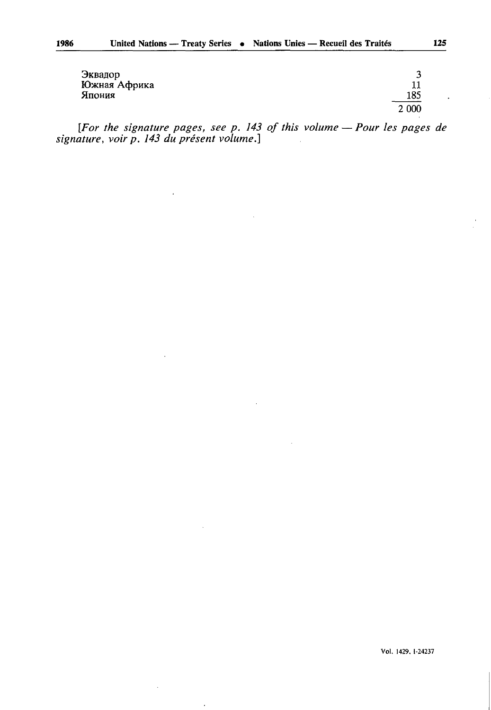*[For thé signature pages, see p. 143 of this volume — Pour les pages de signature, voir p. 143 du présent volume.]*

 $\overline{a}$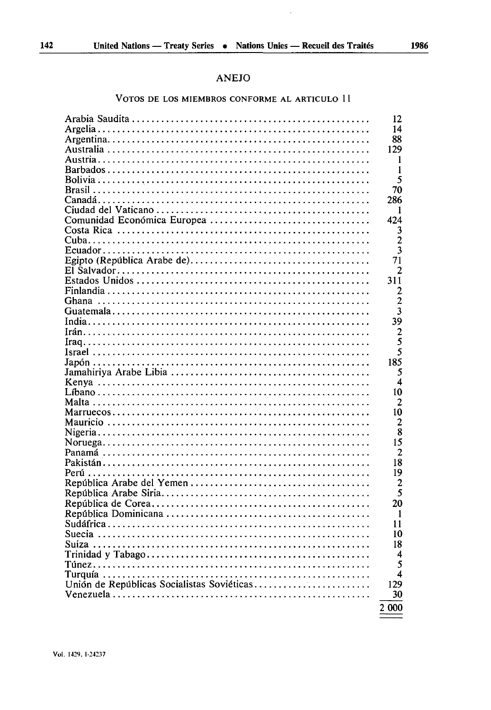l,

# **ANEJO**

# VOTOS DE LOS MIEMBROS CONFORME AL ARTICULO 11

|                                            | 12                      |
|--------------------------------------------|-------------------------|
|                                            | 14                      |
|                                            | 88                      |
|                                            | 129                     |
| Austria                                    | 1                       |
|                                            | 1                       |
|                                            | 5                       |
| <b>Brasil</b>                              | 70                      |
|                                            | 286                     |
|                                            | 1                       |
| Comunidad Económica Europea                | 424                     |
|                                            | 3                       |
| Cuba                                       | $\overline{c}$          |
|                                            | $\overline{\mathbf{3}}$ |
|                                            | 71                      |
|                                            | 2                       |
|                                            | 311                     |
|                                            | 2                       |
| Ghana                                      | $\overline{c}$          |
|                                            | $\overline{\mathbf{3}}$ |
|                                            | 39                      |
|                                            |                         |
|                                            | $\overline{c}$          |
|                                            | 5                       |
|                                            | 5                       |
|                                            | 185                     |
|                                            | 5                       |
|                                            | 4                       |
|                                            | 10                      |
|                                            | $\overline{2}$          |
|                                            | 10                      |
| Mauricio                                   | $\overline{c}$          |
|                                            | $\overline{\mathbf{8}}$ |
|                                            | 15                      |
|                                            | $\overline{c}$          |
|                                            | 18                      |
|                                            | 19                      |
|                                            | $\overline{c}$          |
|                                            | 5                       |
|                                            | 20                      |
|                                            | 1                       |
|                                            | 11                      |
|                                            | 10                      |
|                                            | 18                      |
|                                            | 4                       |
|                                            | 5                       |
|                                            | 4                       |
| Unión de Repúblicas Socialistas Soviéticas | 129                     |
|                                            | 30                      |
|                                            |                         |
|                                            | 2 000                   |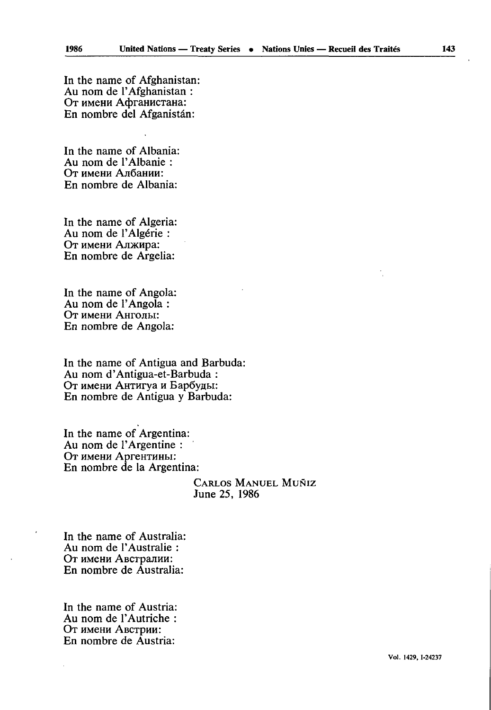In the name of Afghanistan: Au nom de l'Afghanistan : От имени Афганистана: En nombre del Afganistán:

In the name of Albania: Au nom de l'Albanie : От имени Албании: En nombre de Albania:

In the name of Algeria: Au nom de l'Algérie : От имени Алжира: En nombre de Argelia:

In the name of Angola: Au nom de l'Angola : От имени Анголы: En nombre de Angola:

In the name of Antigua and Barbuda: Au nom d'Antigua-et-Barbuda : От имени Антигуа и Барбуды: En nombre de Antigua y Barbuda:

In the name of Argentina: Au nom de l'Argentine : От имени Аргентины: En nombre de la Argentina:

> CARLOS MANUEL MUNIZ June 25, 1986

In the name of Australia: Au nom de l'Australie : От имени Австралии: En nombre de Australia:

In the name of Austria: Au nom de l'Autriche : От имени Австрии: En nombre de Austria: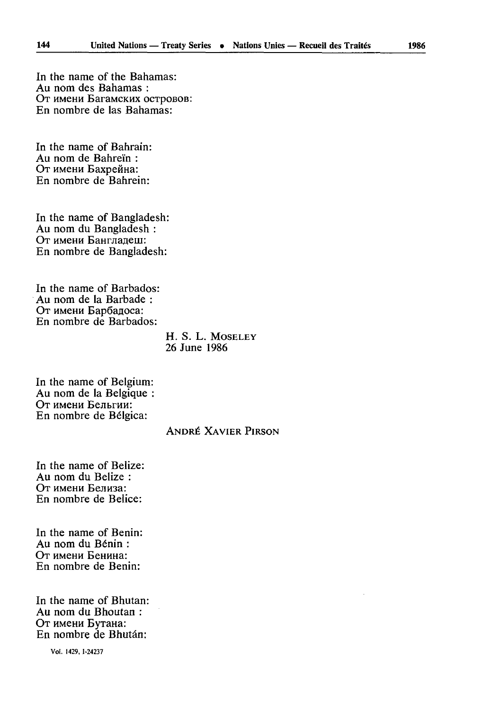In the name of the Bahamas: Au nom des Bahamas : OT HMCHH BaraMCKHX ocrpOBOB: En nombre de las Bahamas:

In the name of Bahrain: Au nom de Bahrein : От имени Бахрейна: En nombre de Bahrein:

In the name of Bangladesh: Au nom du Bangladesh : От имени Бангладеш: En nombre de Bangladesh:

In the name of Barbados: Au nom de la Barbade : От имени Барбадоса: En nombre de Barbados:

> H. S. L. MOSELEY 26 June 1986

In the name of Belgium: Au nom de la Belgique : От имени Бельгии: En nombre de Bélgica:

# **ANDRÉ XAVIER PIRSON**

In the name of Belize: Au nom du Belize : От имени Белиза: En nombre de Belice:

In the name of Benin: Au nom du Bénin : От имени Бенина: En nombre de Benin:

In the name of Bhutan: Au nom du Bhoutan : От имени Бутана: En nombre de Bhutan: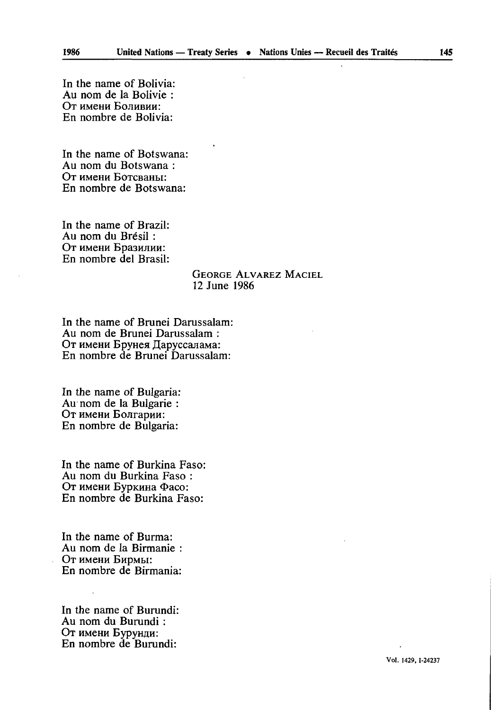In the name of Bolivia: Au nom de la Bolivie : От имени Боливии: En nombre de Bolivia:

In the name of Botswana: Au nom du Botswana : От имени Ботсваны: En nombre de Botswana:

In the name of Brazil: Au nom du Brésil : От имени Бразилии: En nombre del Brasil:

# GEORGE ALVAREZ MACIEL 12 June 1986

In the name of Brunei Darussalam: Au nom de Brunei Darussalam : От имени Брунея Даруссалама: En nombre de Brunei Darussalam:

In the name of Bulgaria: Au nom de la Bulgarie : От имени Болгарии: En nombre de Bulgaria:

In the name of Burkina Faso: Au nom du Burkina Faso : От имени Буркина Фасо: En nombre de Burkina Faso:

In the name of Burma: Au nom de la Birmanie : От имени Бирмы: En nombre de Birmania:

In the name of Burundi: Au nom du Burundi : От имени Бурунди: En nombre de Burundi: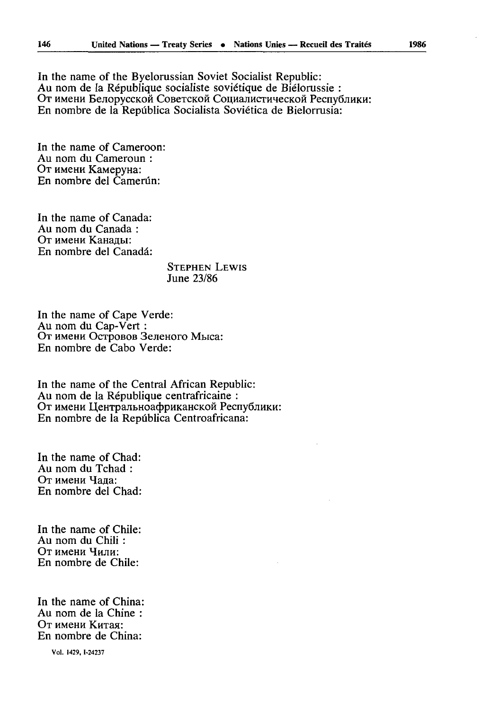In the name of the Byelorussian Soviet Socialist Republic: Au nom de la République socialiste soviétique de Biélorussie : От имени Белорусской Советской Социалистической Республики: En nombre de la Repûblica Socialista Soviética de Bielorrusia:

In the name of Cameroon: Au nom du Cameroun : От имени Камеруна: En nombre del Camerûn:

In the name of Canada: Au nom du Canada : От имени Каналы: En nombre del Canada:

> STEPHEN LEWIS June 23/86

In the name of Cape Verde: Au nom du Cap-Vert : От имени Островов Зеленого Мыса: En nombre de Cabo Verde:

In the name of the Central African Republic: Au nom de la République centrafricaine : От имени Центральноафриканской Республики: En nombre de la Repûblica Centroafricana:

In the name of Chad: Au nom du Tchad : От имени Чала: En nombre del Chad:

In the name of Chile: Au nom du Chili : От имени Чили: En nombre de Chile:

In the name of China: Au nom de la Chine : От имени Китая: En nombre de China: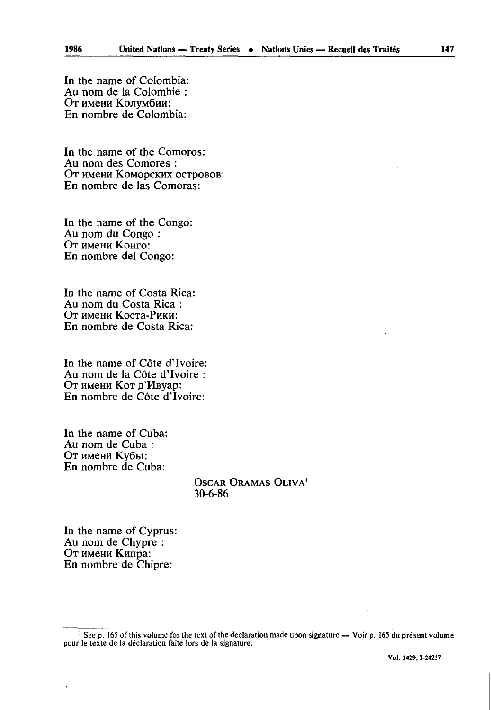In the name of Colombia: Au nom de la Colombie : От имени Колумбии: En nombre de Colombia:

In the name of the Comoros: Au nom des Comores : **UT HMCHH KoMOpCKHX OCTpOBOB:** En nombre de las Comoras:

In the name of the Congo: Au nom du Congo : От имени Конго: En nombre del Congo:

In the name of Costa Rica: Au nom du Costa Rica : От имени Коста-Рики: En nombre de Costa Rica:

In the name of Côte d'Ivoire: Au nom de la Côte d'Ivoire : От имени Кот д'Ивуар: En nombre de Côte d'Ivoire:

In the name of Cuba: Au nom de Cuba : От имени Кубы: En nombre de Cuba:

> OSCAR ORAMAS OLIVA' 30-6-86

In the name of Cyprus: Au nom de Chypre : От имени Кипра: En nombre de Chipre:

<sup>&</sup>lt;sup>1</sup> See p. 165 of this volume for the text of the declaration made upon signature — Voir p. 165 du présent volume pour le texte de la déclaration faite lors de la signature.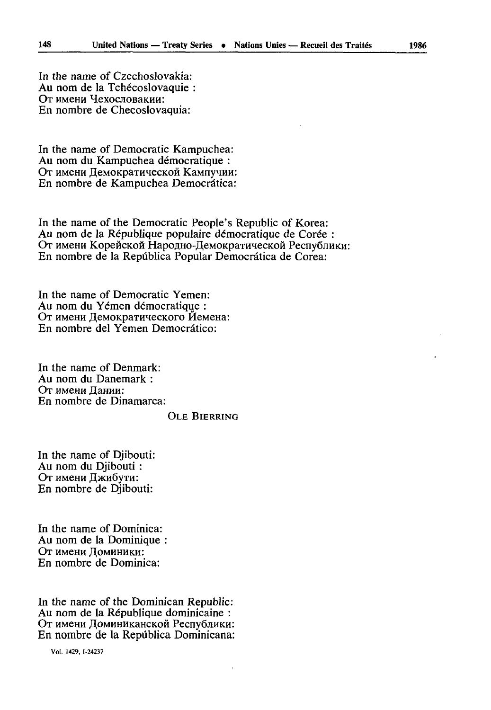In the name of Czechoslovakia: Au nom de la Tchécoslovaquie : От имени Чехословакии: En nombre de Checoslovaquia:

In the name of Democratic Kampuchea: Au nom du Kampuchea démocratique : От имени Демократической Кампучии: En nombre de Kampuchea Democrâtica:

In the name of the Democratic People's Republic of Korea: Au nom de la République populaire démocratique de Corée : От имени Корейской Народно-Демократической Республики: En nombre de la Repûblica Popular Democrâtica de Corea:

In the name of Democratic Yemen: Au nom du Yémen démocratique : От имени Демократического Йемена: En nombre del Yemen Democràtico:

In the name of Denmark: Au nom du Danemark : От имени Дании: En nombre de Dinamarca:

#### OLE BIERRING

In the name of Djibouti: Au nom du Djibouti : От имени Джибути: En nombre de Djibouti:

In the name of Dominica: Au nom de la Dominique : От имени Доминики: En nombre de Dominica:

In the name of the Dominican Republic: Au nom de la République dominicaine : От имени Доминиканской Республики: En nombre de la Repûblica Dominicana: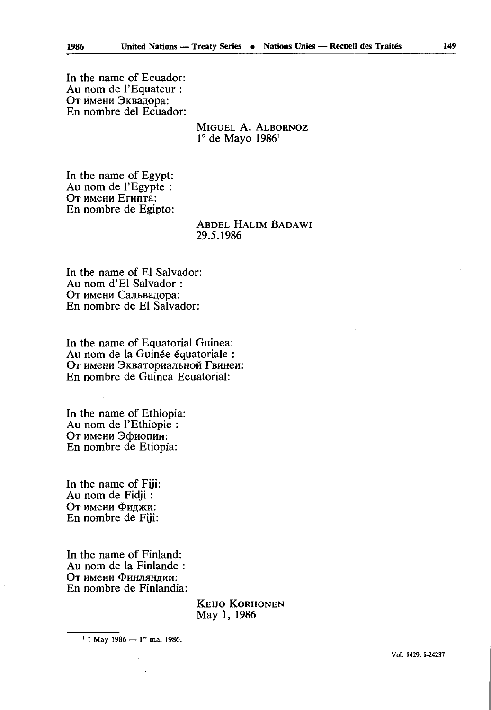In the name of Ecuador: Au nom de l'Equateur : От имени Эквадора: En nombre del Ecuador:

> MIGUEL A. ALBORNOZ 1° de Mayo 1986'

In the name of Egypt: Au nom de l'Egypte : От имени Египта: En nombre de Egipto:

> ABDEL HALIM BADAWI 29.5.1986

In the name of El Salvador: Au nom d'El Salvador : От имени Сальвадора: En nombre de El Salvador:

In the name of Equatorial Guinea: Au nom de la Guinée équatoriale : **OT HM6HH 3KBaTOpH3JlbHOH FBHH6H:** En nombre de Guinea Ecuatorial:

In the name of Ethiopia: Au nom de l'Ethiopie : От имени Эфиопии: En nombre de Etiopía:

In the name of Fiji: Au nom de Fidji : От имени Фиджи: En nombre de Fiji:

In the name of Finland: Au nom de la Finlande : От имени Финляндии: En nombre de Finlandia:

> KEIJO KORHONEN May 1, 1986

 $1$  J May 1986 — 1<sup>er</sup> mai 1986.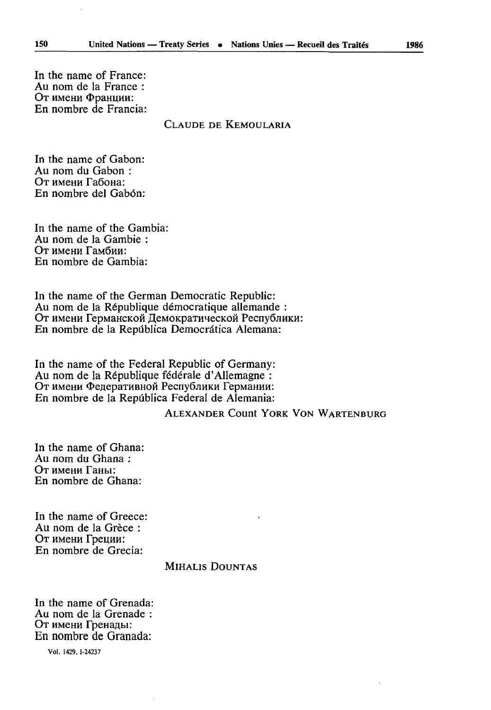In the name of France: Au nom de la France : От имени Франции: En nombre de Francia:

# CLAUDE DE KEMOULARIA

In the name of Gabon: Au nom du Gabon : От имени Габона: En nombre del Gabon:

In the name of the Gambia: Au nom de la Gambie : От имени Гамбии: En nombre de Gambia:

In the name of the German Democratic Republic: Au nom de la République démocratique allemande : От имени Германской Демократической Республики: En nombre de la Repûblica Democrâtica Alemana:

In the name of the Federal Republic of Germany: Au nom de la République fédérale d'Allemagne : От имени Федеративной Республики Германии: En nombre de la Repûblica Federal de Alemania:

ALEXANDER Count YORK VON WARTENBURG

In the name of Ghana: Au nom du Ghana : От имени Ганы: En nombre de Ghana:

In the name of Greece: Au nom de la Grèce : От имени Греции: En nombre de Grecia:

#### MlHALIS DOUNTAS

In the name of Grenada: Au nom de la Grenade : От имени Гренады: En nombre de Granada: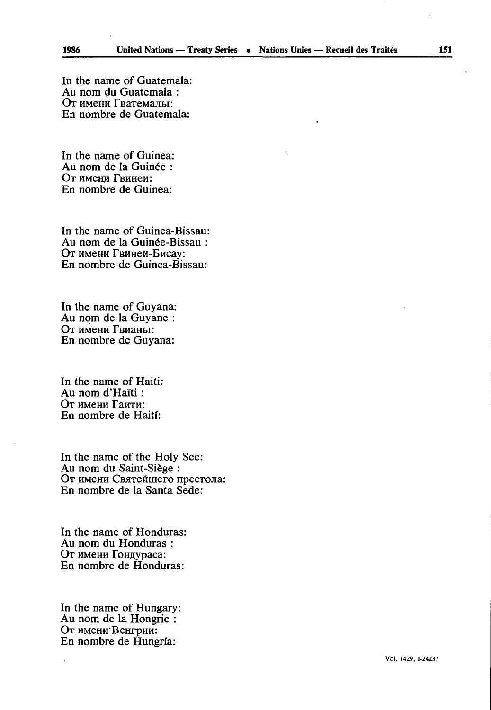In the name of Guatemala: Au nom du Guatemala : От имени Гватемалы: En nombre de Guatemala:

In the name of Guinea: Au nom de la Guinée : От имени Гвинеи: En nombre de Guinea:

In the name of Guinea-Bissau: Au nom de la Guinée-Bissau : От имени Гвинеи-Бисау: En nombre de Guinea-Bissau:

In the name of Guyana: Au nom de la Guyane : **OT HM6HH FBHaHbi:** En nombre de Guyana:

In the name of Haiti: Au nom d'Haïti : От имени Гаити: En nombre de Haiti:

In the name of the Holy See: Au nom du Saint-Siège : От имени Святейшего престола: En nombre de la Santa Sede:

In the name of Honduras: Au nom du Honduras : Oт имени Гондураса: En nombre de Honduras:

In the name of Hungary: Au nom de la Hongrie : От имени Венгрии: En nombre de Hungria: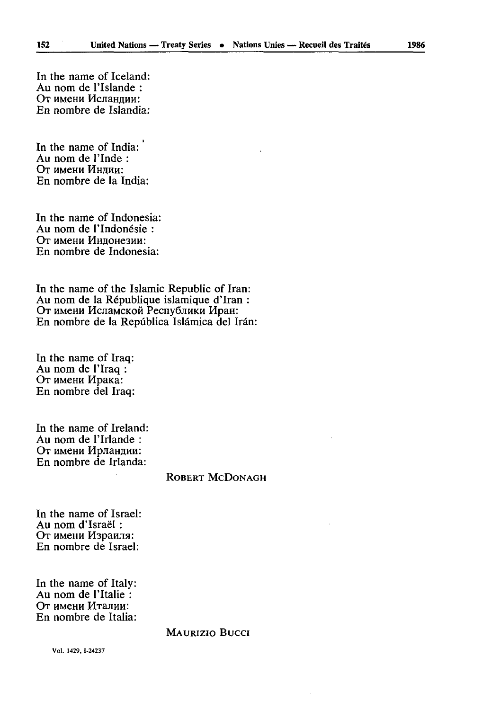In the name of Iceland: Au nom de l'Islande : От имени Исланлии: En nombre de Islandia:

In the name of India: Au nom de l'Inde : От имени Инлии: En nombre de la India:

In the name of Indonesia: Au nom de l'Indonésie : **UT HM6HH HHflOHeSHH:** En nombre de Indonesia:

In the name of the Islamic Republic of Iran: Au nom de la République islamique d'Iran : От имени Исламской Республики Иран: En nombre de la Repûblica Islâmica del Iran:

In the name of Iraq: Au nom de l'Iraq : От имени Ирака: En nombre del Iraq:

In the name of Ireland: Au nom de l'Irlande : От имени Ирландии: En nombre de Irlanda:

# ROBERT MCDONAGH

In the name of Israel: Au nom d'Israël : От имени Израиля: En nombre de Israël:

In the name of Italy: Au nom de l'Italie : **OT HM6HH HT3J1HH:** En nombre de Italia:

MAURIZIO Bucci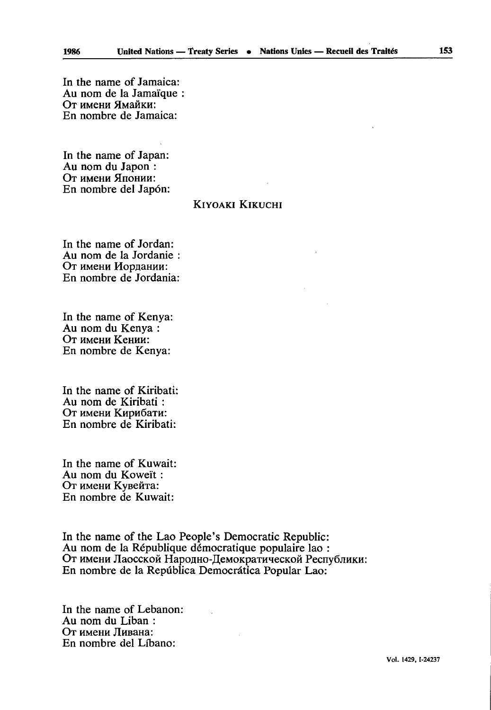In the name of Jamaica: Au nom de la Jamaïque : От имени Ямайки: En nombre de Jamaica:

In the name of Japan: Au nom du Japon : От имени Японии: En nombre del Japon:

# KIYOAKI KIKUCHI

In the name of Jordan: Au nom de la Jordanie : От имени Иордании: En nombre de Jordania:

In the name of Kenya: Au nom du Kenya : От имени Кении: En nombre de Kenya:

In the name of Kiribati: Au nom de Kiribati : От имени Кирибати: En nombre de Kiribati:

In the name of Kuwait: Au nom du Koweït : От имени Кувейта: En nombre de Kuwait:

In the name of the Lao People's Democratic Republic: Au nom de la République démocratique populaire lao : От имени Лаосской Народно-Демократической Республики: En nombre de la Repûblica Democrâtica Popular Lao:

In the name of Lebanon: Au nom du Liban : От имени Ливана: En nombre del Libano: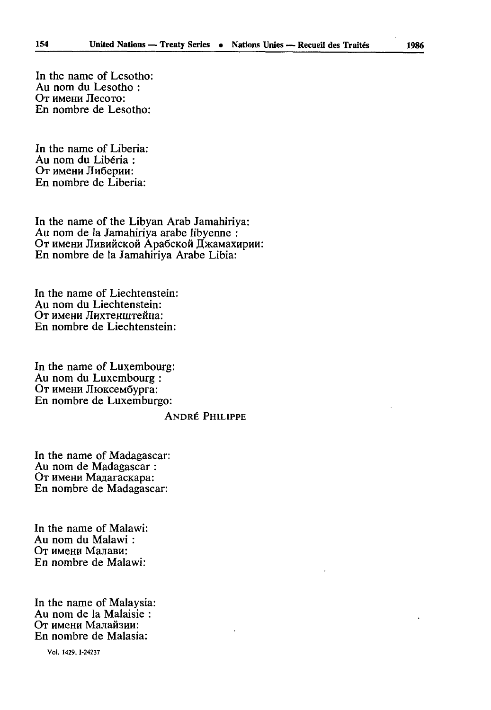In the name of Lesotho: Au nom du Lesotho : От имени Лесото: En nombre de Lesotho:

In the name of Liberia: Au nom du Libéria : От имени Либерии: En nombre de Liberia:

In the name of the Libyan Arab Jamahiriya: Au nom de la Jamahiriya arabe libyenne : От имени Ливийской Арабской Джамахирии: En nombre de la Jamahiriya Arabe Libia:

In the name of Liechtenstein: Au nom du Liechtenstein: От имени Лихтенштейна: En nombre de Liechtenstein:

In the name of Luxembourg: Au nom du Luxembourg : От имени Люксембурга: En nombre de Luxemburgo:

# ANDRÉ PHILIPPE

In the name of Madagascar: Au nom de Madagascar : От имени Мадагаскара: En nombre de Madagascar:

In the name of Malawi: Au nom du Malawi : От имени Малави: En nombre de Malawi:

In the name of Malaysia: Au nom de la Malaisie : От имени Малайзии: En nombre de Malasia: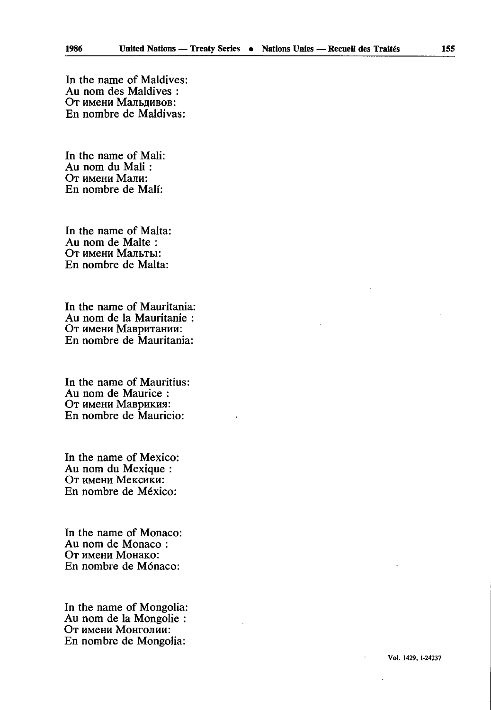In the name of Maldives: Au nom des Maldives : От имени Мальдивов: En nombre de Maldivas:

In the name of Mali: Au nom du Mali : От имени Мали: En nombre de Mali:

In the name of Malta: Au nom de Malte : От имени Мальты: En nombre de Malta:

In the name of Mauritania: Au nom de la Mauritanie : От имени Мавритании: En nombre de Mauritania:

In the name of Mauritius: Au nom de Maurice : От имени Маврикия: En nombre de Mauricio:

In the name of Mexico: Au nom du Mexique : От имени Мексики: En nombre de Mexico:

In the name of Monaco: Au nom de Monaco : От имени Монако: En nombre de Monaco:

In the name of Mongolia: Au nom de la Mongolie : От имени Монголии: En nombre de Mongolia: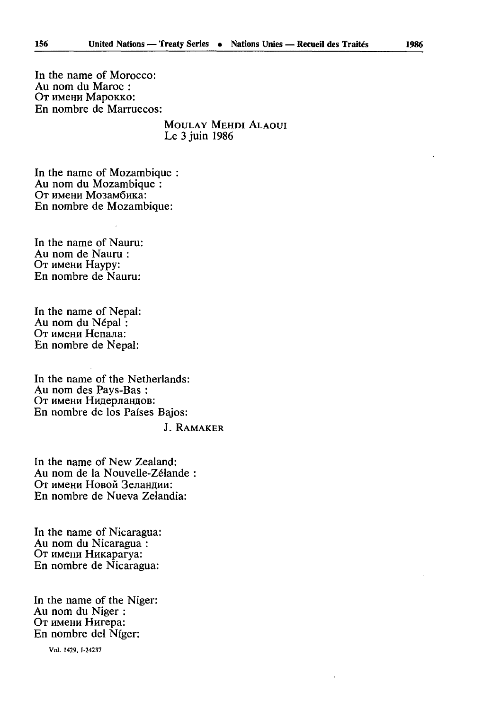In the name of Morocco: Au nom du Maroc : От имени Марокко: En nombre de Marruecos:

> MOULAY MEHDI ALAOUI Le 3 juin 1986

In the name of Mozambique Au nom du Mozambique : От имени Мозамбика: En nombre de Mozambique:

In the name of Nauru: Au nom de Nauru : От имени Науру: En nombre de Nauru:

In the name of Nepal: Au nom du Népal : От имени Непала: En nombre de Népal:

In the name of the Netherlands: Au nom des Pays-Bas : От имени Нидерландов: En nombre de los Paises Bajos:

# J. RAMAKER

In the name of New Zealand: Au nom de la Nouvelle-Zélande От имени Новой Зеландии: En nombre de Nueva Zelandia:

In the name of Nicaragua: Au nom du Nicaragua : От имени Никарагуа: En nombre de Nicaragua:

In the name of the Niger: Au nom du Niger : От имени Нигера: En nombre del Niger: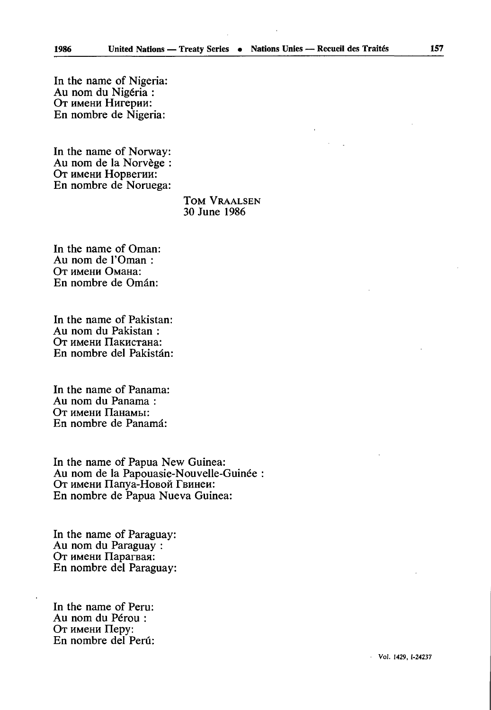In the name of Nigeria: Au nom du Nigeria : От имени Нигерии: En nombre de Nigeria:

In the name of Norway: Au nom de la Norvège : От имени Норвегии: En nombre de Noruega:

> TOM VRAALSEN 30 June 1986

In the name of Oman: Au nom de l'Oman : От имени Омана: En nombre de Oman:

In the name of Pakistan: Au nom du Pakistan : От имени Пакистана: En nombre del Pakistan:

In the name of Panama: Au nom du Panama : От имени Панамы: En nombre de Panama:

In the name of Papua New Guinea: Au nom de la Papouasie-Nouvelle-Guinée От имени Папуа-Новой Гвинеи: En nombre de Papua Nueva Guinea:

In the name of Paraguay: Au nom du Paraguay : От имени Парагвая: En nombre del Paraguay:

In the name of Peru: Au nom du Pérou : От имени Перу: En nombre del Perú: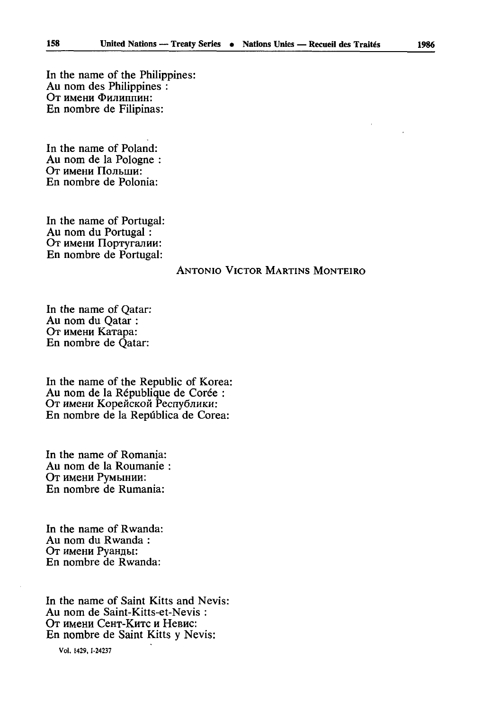In the name of the Philippines: Au nom des Philippines : От имени Филиппин: En nombre de Filipinas:

In the name of Poland: Au nom de la Pologne : **UT HM6HH FIOJIblIIH:** En nombre de Polonia:

In the name of Portugal: Au nom du Portugal : От имени Португалии: En nombre de Portugal:

# ANTONIO VICTOR MARTINS MONTEIRO

In the name of Qatar: Au nom du Qatar : От имени Катара: En nombre de Qatar:

In the name of the Republic of Korea: Au nom de la République de Corée : От имени Корейской Республики: En nombre de la Repûblica de Corea:

In the name of Romania: Au nom de la Roumanie : **OT** HMCHH **PyMbIHHH:** En nombre de Rumania:

In the name of Rwanda: Au nom du Rwanda : От имени Руанды: En nombre de Rwanda:

In the name of Saint Kitts and Nevis: Au nom de Saint-Kitts-et-Nevis : От имени Сент-Китс и Невис: En nombre de Saint Kitts y Nevis: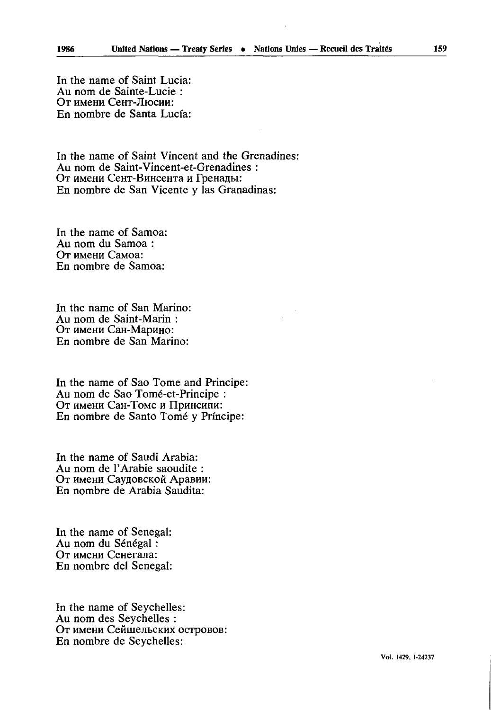In the name of Saint Lucia: Au nom de Sainte-Lucie : От имени Сент-Люсии: En nombre de Santa Lucfa:

In the name of Saint Vincent and the Grenadines: Au nom de Saint-Vincent-et-Grenadines : От имени Сент-Винсента и Гренады: En nombre de San Vicente y las Granadinas:

In the name of Samoa: Au nom du Samoa : От имени Самоа: En nombre de Samoa:

In the name of San Marino: Au nom de Saint-Marin : От имени Сан-Марино: En nombre de San Marino:

In the name of Sao Tome and Principe: Au nom de Sao Tomé-et-Principe : От имени Сан-Томе и Принсипи: En nombre de Santo Tome y Principe:

In the name of Saudi Arabia: Au nom de l'Arabie saoudite : От имени Саудовской Аравии: En nombre de Arabia Saudita:

In the name of Senegal: Au nom du Sénégal : От имени Сенегала: En nombre del Senegal:

In the name of Seychelles: Au nom des Seychelles : От имени Сейшельских островов: En nombre de Seychelles: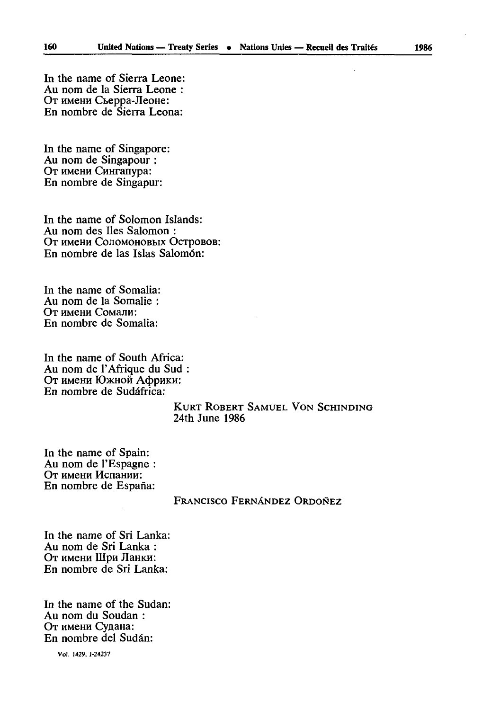In the name of Sierra Leone: Au nom de la Sierra Leone : От имени Сьерра-Леоне: En nombre de Sierra Leona:

In the name of Singapore: Au nom de Singapour : От имени Сингапура: En nombre de Singapur:

In the name of Solomon Islands: Au nom des Iles Salomon : **OT HM6HH CoJIOMOHOBblX OcTpOBOB:** En nombre de las Islas Salomón:

In the name of Somalia: Au nom de la Somalie : От имени Сомали: En nombre de Somalia:

In the name of South Africa: Au nom de l'Afrique du Sud : **OT HM6HH K)JKHOH A(ppHKH:** En nombre de Sudâfrica:

> KURT ROBERT SAMUEL VON SCHINDING 24th June 1986

In the name of Spain: Au nom de l'Espagne : От имени Испании: En nombre de España:

# FRANCISCO FERNÀNDEZ ORDONEZ

In the name of Sri Lanka: Au nom de Sri Lanka : От имени Шри Ланки: En nombre de Sri Lanka:

In the name of the Sudan: Au nom du Soudan : От имени Судана: En nombre del Sudan: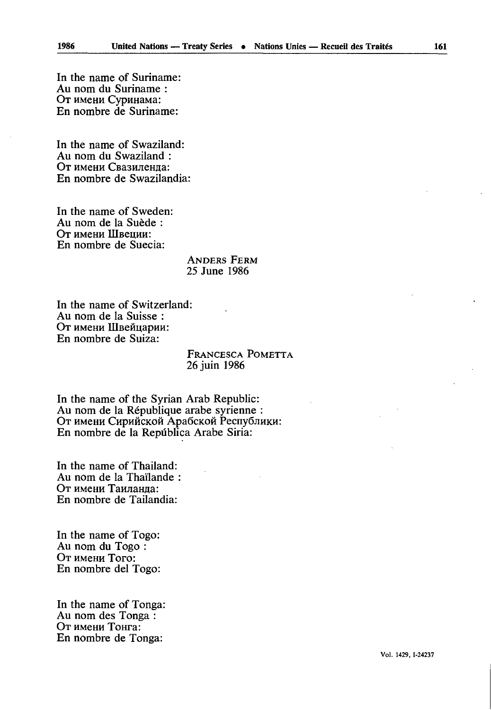In the name of Suriname: Au nom du Suriname : От имени Суринама: En nombre de Suriname:

In the name of Swaziland: Au nom du Swaziland : От имени Свазиленда: En nombre de Swazilandia:

In the name of Sweden: Au nom de la Suède : От имени Швеции: En nombre de Suecia:

> ANDERS FERM 25 June 1986

In the name of Switzerland: Au nom de la Suisse : От имени Швейцарии: En nombre de Suiza:

> FRANCESCA POMETTA 26 juin 1986

In the name of the Syrian Arab Republic: Au nom de la République arabe syrienne : От имени Сирийской Арабской Республики: En nombre de la Repûblica Arabe Siria:

In the name of Thailand: Au nom de la Thaïlande : От имени Таиланда: En nombre de Tailandia:

In the name of Togo: Au nom du Togo : От имени Того: En nombre del Togo:

In the name of Tonga: Au nom des Tonga : От имени Тонга: En nombre de Tonga: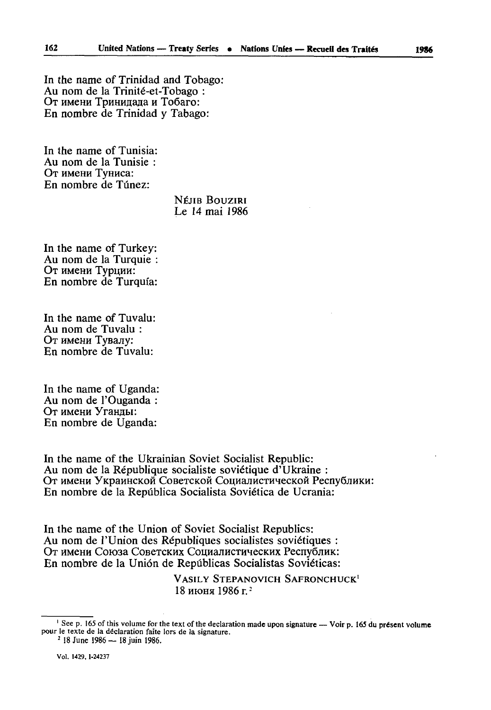In the name of Trinidad and Tobago: Au nom de la Trinité-et-Tobago : От имени Тринидада и Тобаго: En nombre de Trinidad y Tabago:

In the name of Tunisia: Au nom de la Tunisie : От имени Туниса: En nombre de Tûnez:

> NÉJIB BOUZIRI Le 14 mai 1986

In the name of Turkey: Au nom de la Turquie : От имени Турции: En nombre de Turquîa:

In the name of Tuvalu: Au nom de Tuvalu : От имени Тувалу: En nombre de Tuvalu:

In the name of Uganda: Au nom de l'Ouganda : От имени Уганды: En nombre de Uganda:

In the name of the Ukrainian Soviet Socialist Republic: Au nom de la République socialiste soviétique d'Ukraine : От имени Украинской Советской Социалистической Республики: En nombre de la Repûblica Socialista Soviética de Ucrania:

In the name of the Union of Soviet Socialist Republics: Au nom de l'Union des Républiques socialistes soviétiques : От имени Союза Советских Социалистических Республик: En nombre de la Union de Repûblicas Socialistas Soviéticas:

> VASILY STEPANOVICH SAFRONCHUCK' 18 июня 1986 г. ?

<sup>&</sup>lt;sup>1</sup> See p. 165 of this volume for the text of the declaration made upon signature — Voir p. 165 du présent volume pour le texte de la déclaration faite lors de la signature.

<sup>2</sup> 18 June 1986—18 juin 1986.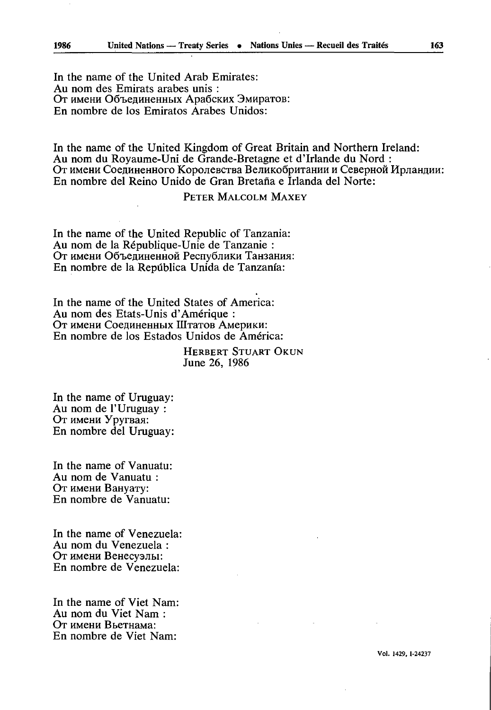In the name of the United Arab Emirates: Au nom des Emirats arabes unis : От имени Объединенных Арабских Эмиратов: En nombre de los Emiratos Arabes Unidos:

In the name of the United Kingdom of Great Britain and Northern Ireland: Au nom du Royaume-Uni de Grande-Bretagne et d'Irlande du Nord : **UT** HM6HH CoeflHHCHHOrO KopOJICBCTBa BeJlHKOÔpHTaHHH H CCBepHOH HpJiaHflHH.' En nombre del Reino Unido de Gran Bretaña e Irlanda del Norte:

# PETER MALCOLM MAXEY

In the name of the United Republic of Tanzania: Au nom de la République-Unie de Tanzanie : От имени Объединенной Республики Танзания: En nombre de la Repûblica Unida de Tanzania:

In the name of the United States of America: Au nom des Etats-Unis d'Amérique : От имени Соединенных Штатов Америки: En nombre de los Estados Unidos de America:

> HERBERT STUART OKUN June 26, 1986

In the name of Uruguay: Au nom de l'Uruguay : От имени Уругвая: En nombre del Uruguay:

In the name of Vanuatu: Au nom de Vanuatu : OT HMCHH BanyaTy: En nombre de Vanuatu:

In the name of Venezuela: Au nom du Venezuela : От имени Венесуэлы: En nombre de Venezuela:

In the name of Viet Nam: Au nom du Viet Nam : От имени Вьетнама: En nombre de Viet Nam: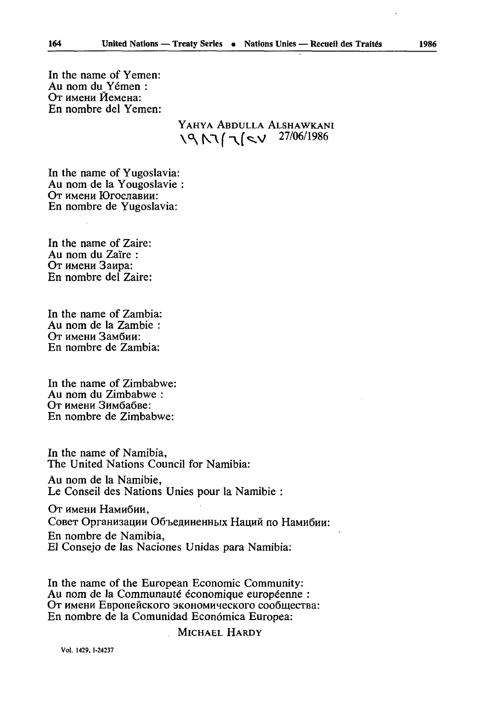In the name of Yemen: Au nom du Yemen : От имени Йемена: En nombre del Yemen:

> YAHYA ABDULLA ALSHAWKANI  $V<sub>2</sub>$  $V<sub>1</sub>$  $V<sub>1</sub>$ 27/06/1986

In the name of Yugoslavia: Au nom de la Yougoslavie От имени Югославии: En nombre de Yugoslavia:

In the name of Zaire: Au nom du Zaïre : От имени Заира: En nombre del Zaire:

In the name of Zambia: Au nom de la Zambie : От имени Замбии: En nombre de Zambia:

In the name of Zimbabwe: Au nom du Zimbabwe : От имени Зимбабве: En nombre de Zimbabwe:

In the name of Namibia, The United Nations Council for Namibia:

Au nom de la Namibie, Le Conseil des Nations Unies pour la Namibie

От имени Намибии, Совет Организации Объединенных Наций по Намибии: En nombre de Namibia, El Consejo de las Naciones Unidas para Namibia

In the name of the European Economic Community: Au nom de la Communauté économique européenne : От имени Европейского экономического сообщества: En nombre de la Comunidad Econômica Europea:

MICHAEL HARDY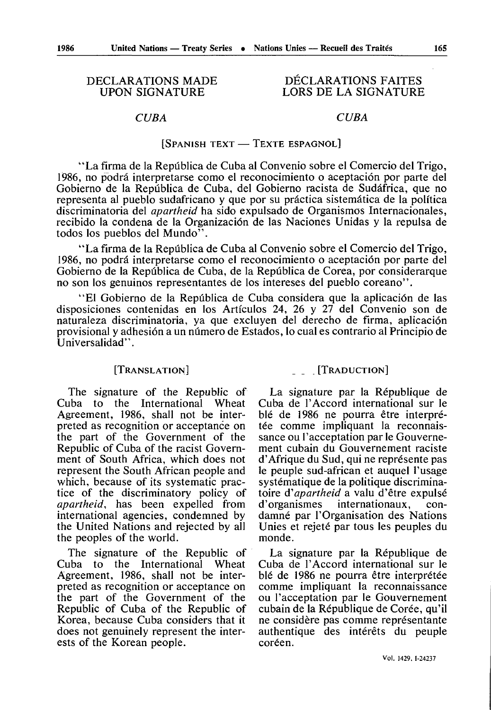#### DECLARATIONS MADE UPON SIGNATURE

# DÉCLARATIONS FAITES LORS DE LA SIGNATURE

# *CUBA CUBA*

#### [SPANISH TEXT — TEXTE ESPAGNOL]

"La fîrma de la Repûblica de Cuba al Convenio sobre el Comercio del Trigo, 1986, no podrâ interpretarse como el reconocimiento o aceptaciôn por parte del Gobierno de la Repûblica de Cuba, del Gobierno racista de Sudâfrica, que no representa al pueblo sudafricano y que por su práctica sistemática de la política discriminatoria del *apartheid* ha sido expulsado de Organismes Internacionales, recibido la condena de la Organizaciôn de las Naciones Unidas y la repuisa de todos los pueblos del Mundo".

"La fîrma de la Repûblica de Cuba al Convenio sobre el Comercio del Trigo, 1986, no podrâ interpretarse como el reconocimiento o aceptaciôn por parte del Gobierno de la Repûblica de Cuba, de la Repûblica de Corea, por considerarque no son los genuinos représentantes de los intereses del pueblo coreano".

"El Gobierno de la Repûblica de Cuba considéra que la aplicaciôn de las disposiciones contenidas en los Articulos 24, 26 y 27 del Convenio son de naturaleza discriminatoria, ya que excluyen del derecho de fîrma, aplicaciôn provisional y adhésion a un numéro de Estados, lo cual es contrario al Principio de Universalidad".

# [TRANSLATION]

The signature of the Republic of Cuba to the International Wheat Agreement, 1986, shall not be inter preted as recognition or acceptance on the part of the Government of the Republic of Cuba of the racist Govern ment of South Africa, which does not represent the South African people and which, because of its systematic prac tice of the discriminatory policy of *apartheid,* has been expelled from international agencies, condemned by the United Nations and rejected by all the peoples of the world.

The signature of the Republic of Cuba to the International Wheat Agreement, 1986, shall not be inter preted as recognition or acceptance on the part of the Government of the Republic of Cuba of the Republic of Korea, because Cuba considers that it does not genuinely represent the inter ests of the Korean people.

### [TRADUCTION]

La signature par la République de Cuba de l'Accord international sur le blé de 1986 ne pourra être interpré tée comme impliquant la reconnais sance ou l'acceptation par le Gouverne ment cubain du Gouvernement raciste d'Afrique du Sud, qui ne représente pas le peuple sud-african et auquel l'usage systématique de la politique discrimina toire *d'apartheid* a valu d'être expulsé internationaux, condamné par l'Organisation des Nations Unies et rejeté par tous les peuples du monde.

La signature par la République de Cuba de l'Accord international sur le blé de 1986 ne pourra être interprétée comme impliquant la reconnaissance ou l'acceptation par le Gouvernement cubain de la République de Corée, qu'il ne considère pas comme représentante authentique des intérêts du peuple coréen.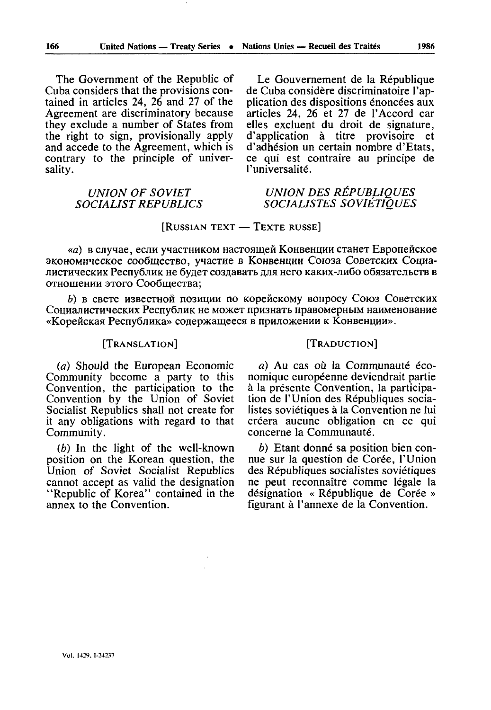The Government of the Republic of Cuba considers that the provisions con tained in articles 24, 26 and 27 of the Agreement are discriminatory because they exclude a number of States from the right to sign, provisionally apply and accede to the Agreement, which is contrary to the principle of univer sality.

# *UNION OF SOVIET SOCIALIST REPUBLICS*

Le Gouvernement de la République de Cuba considère discriminatoire l'ap plication des dispositions énoncées aux articles 24, 26 et 27 de l'Accord car elles excluent du droit de signature, d'application à titre provisoire et d'adhésion un certain nombre d'Etats, ce qui est contraire au principe de l'universalité.

# *UNION DES RÉPUBLIQUES SOCIALISTES SOVIÉTIQUES*

# [RUSSIAN TEXT — TEXTE RUSSE]

«a) в случае, если участником настоящей Конвенции станет Европейское экономическое сообщество, участие в Конвенции Союза Советских Социалистических Республик не булет создавать для него каких-либо обязательств в отношении этого Сообщества;

*b*) в свете известной позиции по корейскому вопросу Союз Советских Социалистических Республик не может признать правомерным наименование «Корейская Республика» содержащееся в приложении к Конвенции».

#### [TRANSLATION]

*(a)* Should the European Economic Community become a party to this Convention, the participation to the Convention by the Union of Soviet Socialist Republics shall not create for it any obligations with regard to that Community.

*(b)* In the light of the well-known position on the Korean question, the Union of Soviet Socialist Republics cannot accept as valid the designation "Republic of Korea" contained in the annex to the Convention.

#### [TRADUCTION]

a) Au cas où la Communauté éco nomique européenne deviendrait partie à la présente Convention, la participa tion de l'Union des Républiques socia listes soviétiques à la Convention ne lui créera aucune obligation en ce qui concerne la Communauté.

*b)* Etant donné sa position bien con nue sur la question de Corée, l'Union des Républiques socialistes soviétiques ne peut reconnaître comme légale la désignation « République de Corée » figurant à l'annexe de la Convention.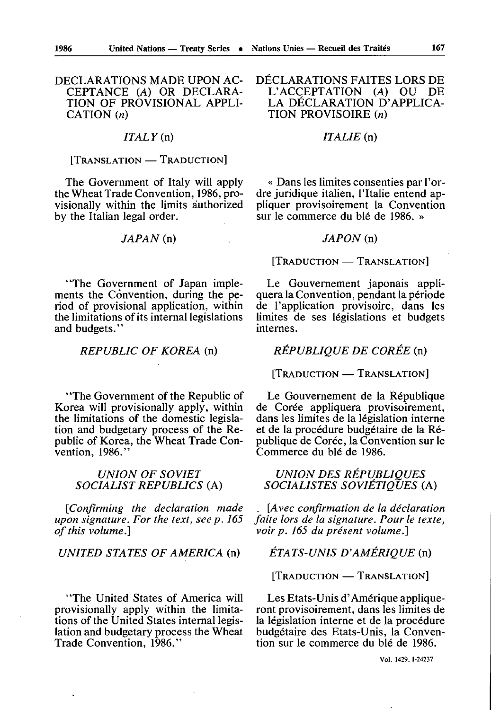# DECLARATIONS MADE UPON AC CEPTANCE (A) OR DECLARA TION OF PROVISIONAL APPLI CATION *(n)*

# *ITALY* (n)

# [TRANSLATION — TRADUCTION]

The Government of Italy will apply the Wheat Trade Convention, 1986, pro visionally within the limits authorized by the Italian legal order.

#### *JAPAN* (n)

"The Government of Japan imple ments the Convention, during the period of provisional application, within the limitations of its internal legislations and budgets."

#### *REPUBLIC OF KOREA* (n)

"The Government of the Republic of Korea will provisionally apply, within the limitations of the domestic legisla tion and budgetary process of the Re public of Korea, the Wheat Trade Con vention, 1986."

# *UNION OF SOVIET SOCIALIST REPUBLICS* (A)

*[Confirming the declaration made upon signature. For the text, see p. 165 of this volume.]*

#### *UNITED STATES OF AMERICA* (n)

"The United States of America will provisionally apply within the limita tions of the United States internal legis lation and budgetary process the Wheat Trade Convention, 1986."

DÉCLARATIONS FAITES LORS DE L'ACCEPTATION (A) OU DE LA DÉCLARATION D'APPLICA TION PROVISOIRE *(n)*

#### *ITALIE* (n)

« Dans les limites consenties par l'or dre juridique italien, l'Italie entend ap pliquer provisoirement la Convention sur le commerce du blé de 1986. »

#### *JAPON* (n)

#### [TRADUCTION — TRANSLATION]

Le Gouvernement japonais appliquera la Convention, pendant la période de l'application provisoire, dans les limites de ses législations et budgets internes.

*RÉPUBLIQUE DE CORÉE* (n)

[TRADUCTION — TRANSLATION]

Le Gouvernement de la République de Corée appliquera provisoirement, dans les limites de la législation interne et de la procédure budgétaire de la Ré publique de Corée, la Convention sur le Commerce du blé de 1986.

*UNION DES RÉPUBLIQUES SOCIALISTES SOVIÉTIQUES* (A)

. *[Avec confirmation de la déclaration faite lors de la signature. Pour le texte, voir p. 165 du présent volume.]*

*ÉTATS-UNIS D'AMÉRIQUE* (n)

[TRADUCTION — TRANSLATION]

Les Etats-Unis d'Amérique applique ront provisoirement, dans les limites de la législation interne et de la procédure budgétaire des Etats-Unis, la Conven tion sur le commerce du blé de 1986.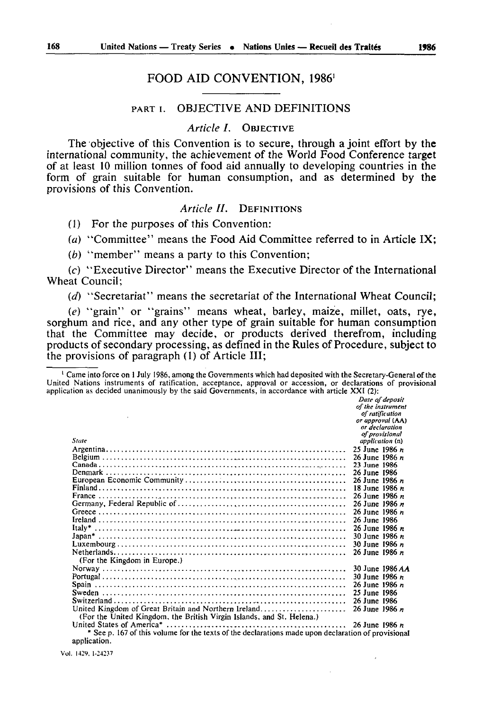# FOOD AID CONVENTION, 1986'

### PART I. OBJECTIVE AND DEFINITIONS

# *Article I.* OBJECTIVE

The objective of this Convention is to secure, through a joint effort by the international community, the achievement of the World Food Conference target of at least 10 million tonnes of food aid annually to developing countries in the form of grain suitable for human consumption, and as determined by the provisions of this Convention.

#### *Article II.* DEFINITIONS

(1) For the purposes of this Convention:

*(a)* "Committee" means the Food Aid Committee referred to in Article IX;

*(b)* "member" means a party to this Convention;

 $(c)$  "Executive Director" means the Executive Director of the International Wheat Council;

*(d)* "Secretariat" means the secretariat of the International Wheat Council;

*(e)* "grain" or "grains" means wheat, barley, maize, millet, oats, rye, sorghum and rice, and any other type of grain suitable for human consumption that the Committee may decide, or products derived therefrom, including products of secondary processing, as defined in the Rules of Procedure, subject to the provisions of paragraph (1) of Article III;

 $<sup>1</sup>$  Came into force on 1 July 1986, among the Governments which had deposited with the Secretary-General of the</sup> United Nations instruments of ratification, acceptance, approval or accession, or declarations of provisional application as decided unanimously by the said Governments, in accordance with article XXI (2): *Date of deposit* 

|                                                                                                                               | of the instrument  |
|-------------------------------------------------------------------------------------------------------------------------------|--------------------|
|                                                                                                                               | of ratification    |
|                                                                                                                               | or approval (AA)   |
|                                                                                                                               | or declaration     |
|                                                                                                                               | of provisional     |
| State                                                                                                                         | application (n)    |
|                                                                                                                               | 25 June 1986 $n$   |
|                                                                                                                               | $26$ June 1986 $n$ |
|                                                                                                                               | 23 June 1986       |
|                                                                                                                               | 26 June 1986       |
|                                                                                                                               | 26 June 1986 n     |
|                                                                                                                               | 18 June 1986 $n$   |
|                                                                                                                               | 26 June 1986 $n$   |
|                                                                                                                               | 26 June 1986 n     |
|                                                                                                                               | $26$ June 1986 n   |
|                                                                                                                               | 26 June 1986       |
|                                                                                                                               | 26 June 1986 n     |
|                                                                                                                               | 30 June 1986 $n$   |
|                                                                                                                               | 30 June 1986 n     |
|                                                                                                                               | 26 June 1986 $n$   |
| (For the Kingdom in Europe.)                                                                                                  |                    |
|                                                                                                                               | 30 June 1986 AA    |
|                                                                                                                               | 30 June 1986 n     |
|                                                                                                                               | 26 June 1986 n     |
|                                                                                                                               | 25 June 1986       |
|                                                                                                                               |                    |
|                                                                                                                               | 26 June 1986       |
| United Kingdom of Great Britain and Northern Ireland<br>(For the United Kingdom, the British Virgin Islands, and St. Helena.) | 26 June 1986 n     |
|                                                                                                                               | 26 June 1986 $n$   |
| * See p. 167 of this volume for the texts of the declarations made upon declaration of provisional                            |                    |
| application.                                                                                                                  |                    |
|                                                                                                                               |                    |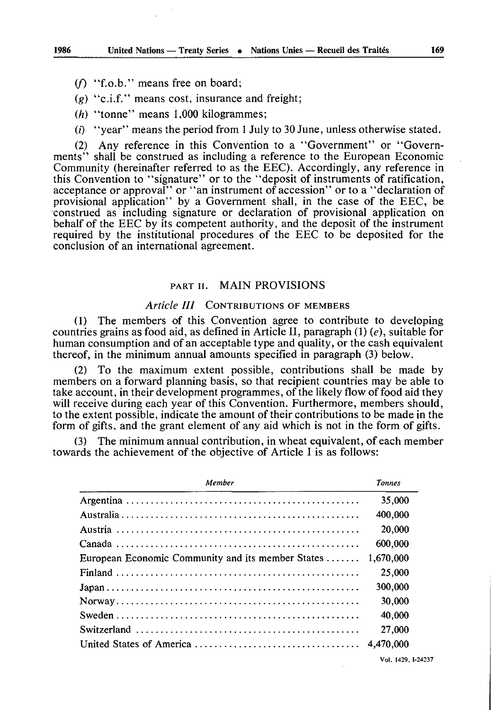- $(f)$  "f.o.b." means free on board;
- *(g)* "c.i.f." means cost, insurance and freight;
- *(h)* "tonne" means 1,000 kilogrammes;
- (i) "year" means the period from 1 July to 30 June, unless otherwise stated.

(2) Any reference in this Convention to a "Government" or "Govern ments" shall be construed as including a reference to the European Economic Community (hereinafter referred to as the EEC). Accordingly, any reference in this Convention to "signature" or to the "deposit of instruments of ratification, acceptance or approval" or "an instrument of accession" or to a "declaration of provisional application" by a Government shall, in the case of the EEC, be construed as including signature or declaration of provisional application on behalf of the EEC by its competent authority, and the deposit of the instrument required by the institutional procedures of the EEC to be deposited for the conclusion of an international agreement.

#### PART ii. MAIN PROVISIONS

#### *Article III* CONTRIBUTIONS OF MEMBERS

(1) The members of this Convention agree to contribute to developing countries grains as food aid, as defined in Article II, paragraph (1) *(e),* suitable for human consumption and of an acceptable type and quality, or the cash equivalent thereof, in the minimum annual amounts specified in paragraph (3) below.

(2) To the maximum extent possible, contributions shall be made by members on a forward planning basis, so that recipient countries may be able to take account, in their development programmes, of the likely flow of food aid they will receive during each year of this Convention. Furthermore, members should, to the extent possible, indicate the amount of their contributions to be made in the form of gifts, and the grant element of any aid which is not in the form of gifts.

(3) The minimum annual contribution, in wheat equivalent, of each member towards the achievement of the objective of Article I is as follows:

| Member                                            | Tonnes    |
|---------------------------------------------------|-----------|
|                                                   | 35,000    |
|                                                   | 400.000   |
|                                                   | 20,000    |
|                                                   | 600,000   |
| European Economic Community and its member States | 1,670,000 |
|                                                   | 25.000    |
|                                                   | 300,000   |
|                                                   | 30,000    |
|                                                   | 40,000    |
|                                                   | 27,000    |
|                                                   | 4,470,000 |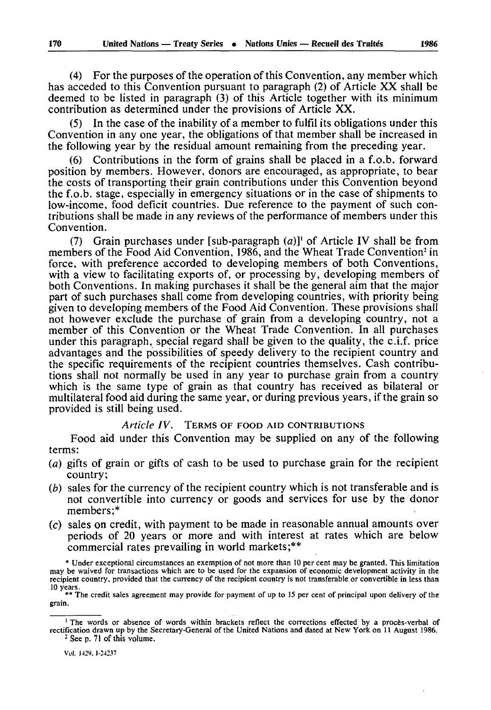(4) For the purposes of the operation of this Convention, any member which has acceded to this Convention pursuant to paragraph (2) of Article XX shall be deemed to be listed in paragraph (3) of this Article together with its minimum contribution as determined under the provisions of Article XX.

(5) In the case of the inability of a member to fulfil its obligations under this Convention in any one year, the obligations of that member shall be increased in the following year by the residual amount remaining from the preceding year.

(6) Contributions in the form of grains shall be placed in a f.o.b. forward position by members. However, donors are encouraged, as appropriate, to bear the costs of transporting their grain contributions under this Convention beyond the f.o.b. stage, especially in emergency situations or in the case of shipments to low-income, food deficit countries. Due reference to the payment of such con tributions shall be made in any reviews of the performance of members under this Convention.

(7) Grain purchases under [sub-paragraph  $(a)$ ]' of Article IV shall be from members of the Food Aid Convention, 1986, and the Wheat Trade Convention<sup>2</sup> in force, with preference accorded to developing members of both Conventions, with a view to facilitating exports of, or processing by, developing members of both Conventions. In making purchases it shall be the general aim that the major part of such purchases shall come from developing countries, with priority being given to developing members of the Food Aid Convention. These provisions shall not however exclude the purchase of grain from a developing country, not a member of this Convention or the Wheat Trade Convention. In all purchases under this paragraph, special regard shall be given to the quality, the c.i.f. price advantages and the possibilities of speedy delivery to the recipient country and the specific requirements of the recipient countries themselves. Cash contribu tions shall not normally be used in any year to purchase grain from a country which is the same type of grain as that country has received as bilateral or multilateral food aid during the same year, or during previous years, if the grain so provided is still being used.

#### *Article IV.* TERMS OF FOOD AID CONTRIBUTIONS

Food aid under this Convention may be supplied on any of the following terms:

- (a) gifts of grain or gifts of cash to be used to purchase grain for the recipient country;
- *(b)* sales for the currency of the recipient country which is not transferable and is not convertible into currency or goods and services for use by the donor members;\*
- (c) sales on credit, with payment to be made in reasonable annual amounts over periods of 20 years or more and with interest at rates which are below commercial rates prevailing in world markets;\*\*

\* Under exceptional circumstances an exemption of not more than 10 per cent may be granted. This limitation may be waived for transactions which are to be used for the expansion of economic development activity in the recipient country, provided that the currency of the recipient country is not transferable or convertible in less than 10 years.

<sup>\*\*</sup> The credit sales agreement may provide for payment of up to 15 per cent of principal upon delivery of the grain.

<sup>1</sup> The words or absence of words within brackets reflect the corrections effected by a procès-verbal of rectification drawn up by the Secretary-General of the United Nations and dated at New York on 11 August 1986. *-* See p. 71 of this volume.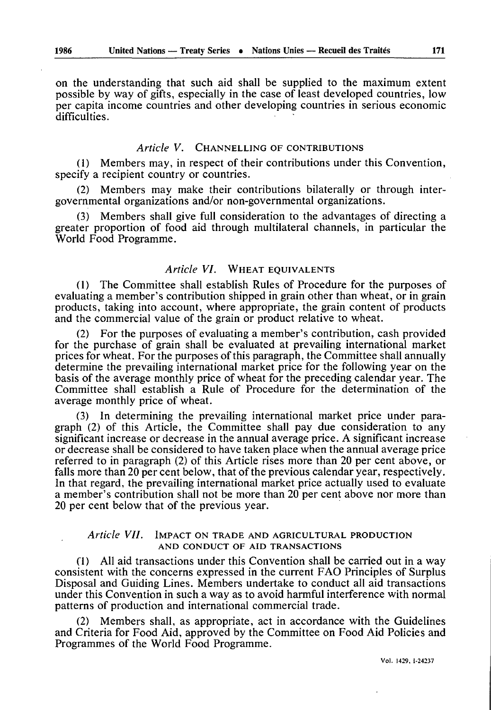on the understanding that such aid shall be supplied to the maximum extent possible by way of gifts, especially in the case of least developed countries, low per capita income countries and other developing countries in serious economic difficulties.

# *Article V.* CHANNELLING OF CONTRIBUTIONS

(1) Members may, in respect of their contributions under this Convention, specify a recipient country or countries.

(2) Members may make their contributions bilaterally or through inter governmental organizations and/or non-governmental organizations.

(3) Members shall give full consideration to the advantages of directing a greater proportion of food aid through multilateral channels, in particular the World Food Programme.

# *Article VI.* WHEAT EQUIVALENTS

(1) The Committee shall establish Rules of Procedure for the purposes of evaluating a member's contribution shipped in grain other than wheat, or in grain products, taking into account, where appropriate, the grain content of products and the commercial value of the grain or product relative to wheat.

(2) For the purposes of evaluating a member's contribution, cash provided for the purchase of grain shall be evaluated at prevailing international market prices for wheat. For the purposes of this paragraph, the Committee shall annually determine the prevailing international market price for the following year on the basis of the average monthly price of wheat for the preceding calendar year. The Committee shall establish a Rule of Procedure for the determination of the average monthly price of wheat.

(3) In determining the prevailing international market price under para graph (2) of this Article, the Committee shall pay due consideration to any significant increase or decrease in the annual average price. A significant increase or decrease shall be considered to have taken place when the annual average price referred to in paragraph (2) of this Article rises more than 20 per cent above, or falls more than 20 per cent below, that of the previous calendar year, respectively. In that regard, the prevailing international market price actually used to evaluate a member's contribution shall not be more than 20 per cent above nor more than 20 per cent below that of the previous year.

#### *Article VII.* IMPACT ON TRADE AND AGRICULTURAL PRODUCTION **AND CONDUCT OF AID TRANSACTIONS**

Ç1) All aid transactions under this Convention shall be carried out in a way consistent with the concerns expressed in the current FAO Principles of Surplus Disposal and Guiding Lines. Members undertake to conduct all aid transactions under this Convention in such a way as to avoid harmful interference with normal patterns of production and international commercial trade.

Members shall, as appropriate, act in accordance with the Guidelines and Criteria for Food Aid, approved by the Committee on Food Aid Policies and Programmes of the World Food Programme.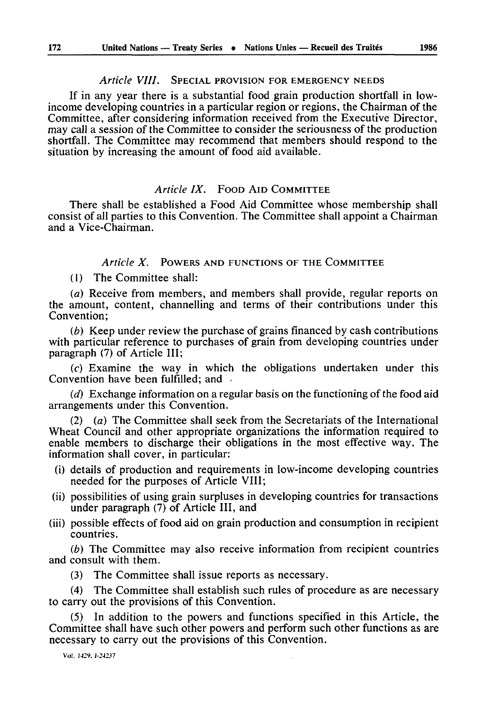# *Article VIII.* SPECIAL PROVISION FOR EMERGENCY NEEDS

If in any year there is a substantial food grain production shortfall in lowincome developing countries in a particular region or regions, the Chairman of the Committee, after considering information received from the Executive Director, may call a session of the Committee to consider the seriousness of the production shortfall. The Committee may recommend that members should respond to the situation by increasing the amount of food aid available.

# Article IX. FOOD AID COMMITTEE

There shall be established a Food Aid Committee whose membership shall consist of all parties to this Convention. The Committee shall appoint a Chairman and a Vice-Chairman.

#### *Article X.* POWERS AND FUNCTIONS OF THE COMMITTEE

(1) The Committee shall:

(a) Receive from members, and members shall provide, regular reports on the amount, content, channelling and terms of their contributions under this Convention;

*(b)* Keep under review the purchase of grains financed by cash contributions with particular reference to purchases of grain from developing countries under paragraph (7) of Article III;

*(c)* Examine the way in which the obligations undertaken under this Convention have been fulfilled; and .

*(d)* Exchange information on a regular basis on the functioning of the food aid arrangements under this Convention.

(2) *(a)* The Committee shall seek from the Secretariats of the International Wheat Council and other appropriate organizations the information required to enable members to discharge their obligations in the most effective way. The information shall cover, in particular:

- (i) details of production and requirements in low-income developing countries needed for the purposes of Article VIII;
- (ii) possibilities of using grain surpluses in developing countries for transactions under paragraph (7) of Article III, and
- (iii) possible effects of food aid on grain production and consumption in recipient countries.

*(b)* The Committee may also receive information from recipient countries and consult with them.

(3) The Committee shall issue reports as necessary.

(4) The Committee shall establish such rules of procedure as are necessary to carry out the provisions of this Convention.

(5) In addition to the powers and functions specified in this Article, the Committee shall have such other powers and perform such other functions as are necessary to carry out the provisions of this Convention.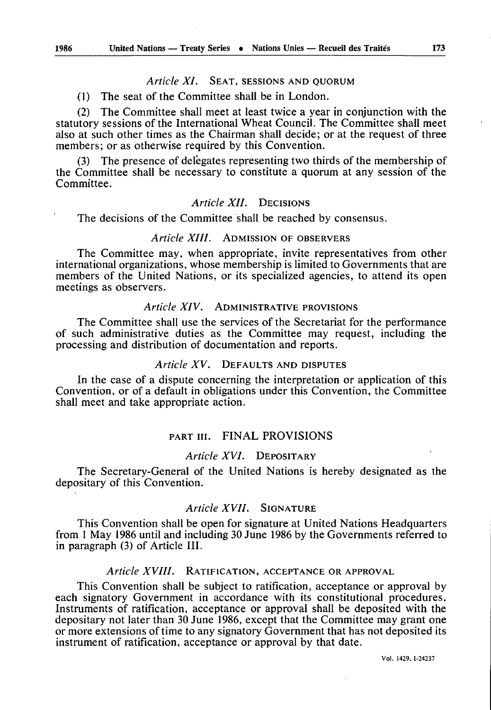#### Article XI. SEAT, SESSIONS AND QUORUM

(1) The seat of the Committee shall be in London.

(2) The Committee shall meet at least twice a year in conjunction with the statutory sessions of the International Wheat Council. The Committee shall meet also at such other times as the Chairman shall decide; or at the request of three members; or as otherwise required by this Convention.

(3) The presence of delegates representing two thirds of the membership of the Committee shall be necessary to constitute a quorum at any session of the Committee.

#### *Article XII.* DECISIONS

The decisions of the Committee shall be reached by consensus.

#### *Article XIII.* ADMISSION OF OBSERVERS

The Committee may, when appropriate, invite representatives from other international organizations, whose membership is limited to Governments that are members of the United Nations, or its specialized agencies, to attend its open meetings as observers.

#### *Article XIV.* ADMINISTRATIVE PROVISIONS

The Committee shall use the services of the Secretariat for the performance of such administrative duties as the Committee may request, including the processing and distribution of documentation and reports.

# *Article XV.* DEFAULTS AND DISPUTES

In the case of a dispute concerning the interpretation or application of this Convention, or of a default in obligations under this Convention, the Committee shall meet and take appropriate action.

# PART in. FINAL PROVISIONS

#### *Article XVI.* DEPOSITARY

The Secretary-General of the United Nations is hereby designated as the depositary of this Convention.

# *Article XVII.* SIGNATURE

This Convention shall be open for signature at United Nations Headquarters from 1 May 1986 until and including 30 June 1986 by the Governments referred to in paragraph (3) of Article III.

#### *Article XVIII.* RATIFICATION, ACCEPTANCE OR APPROVAL

This Convention shall be subject to ratification, acceptance or approval by each signatory Government in accordance with its constitutional procedures. Instruments of ratification, acceptance or approval shall be deposited with the depositary not later than 30 June 1986, except that the Committee may grant one or more extensions of time to any signatory Government that has not deposited its instrument of ratification, acceptance or approval by that date.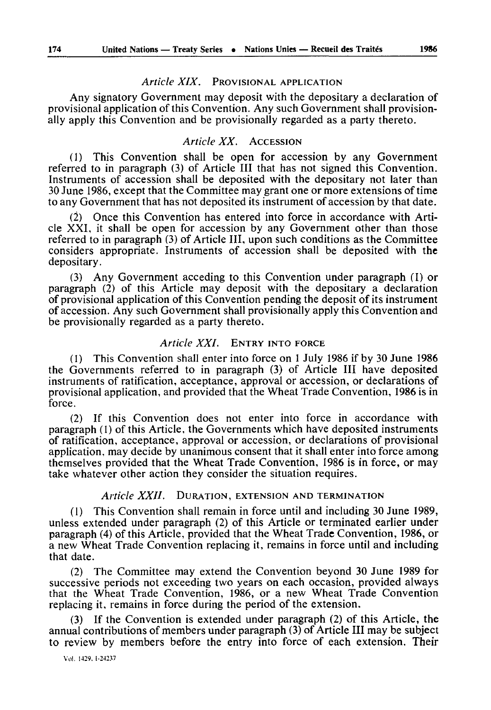# *Article XIX.* PROVISIONAL APPLICATION

Any signatory Government may deposit with the depositary a declaration of provisional application of this Convention. Any such Government shall provision ally apply this Convention and be provisionally regarded as a party thereto.

# *Article XX.* ACCESSION

(1) This Convention shall be open for accession by any Government referred to in paragraph (3) of Article III that has not signed this Convention. Instruments of accession shall be deposited with the depositary not later than 30 June 1986, except that the Committee may grant one or more extensions of time to any Government that has not deposited its instrument of accession by that date.

(2) Once this Convention has entered into force in accordance with Arti cle XXI, it shall be open for accession by any Government other than those referred to in paragraph (3) of Article III, upon such conditions as the Committee considers appropriate. Instruments of accession shall be deposited with the depositary.

(3) Any Government acceding to this Convention under paragraph (1) or paragraph (2) of this Article may deposit with the depositary a declaration of provisional application of this Convention pending the deposit of its instrument of accession. Any such Government shall provisionally apply this Convention and be provisionally regarded as a party thereto.

#### *Article XXL* ENTRY INTO FORCE

(1) This Convention shall enter into force on 1 July 1986 if by 30 June 1986 the Governments referred to in paragraph (3) of Article III have deposited instruments of ratification, acceptance, approval or accession, or declarations of provisional application, and provided that the Wheat Trade Convention, 1986 is in force.

(2) If this Convention does not enter into force in accordance with paragraph (I) of this Article, the Governments which have deposited instruments of ratification, acceptance, approval or accession, or declarations of provisional application, may decide by unanimous consent that it shall enter into force among themselves provided that the Wheat Trade Convention, 1986 is in force, or may take whatever other action they consider the situation requires.

#### *Article XXII.* DURATION, EXTENSION AND TERMINATION

(1) This Convention shall remain in force until and including 30 June 1989, unless extended under paragraph (2) of this Article or terminated earlier under paragraph (4) of this Article, provided that the Wheat Trade Convention, 1986, or a new Wheat Trade Convention replacing it, remains in force until and including that date.

(2) The Committee may extend the Convention beyond 30 June 1989 for successive periods not exceeding two years on each occasion, provided always that the Wheat Trade Convention, 1986, or a new Wheat Trade Convention replacing it, remains in force during the period of the extension.

(3) If the Convention is extended under paragraph (2) of this Article, the annual contributions of members under paragraph (3) of Article III may be subject to review by members before the entry into force of each extension. Their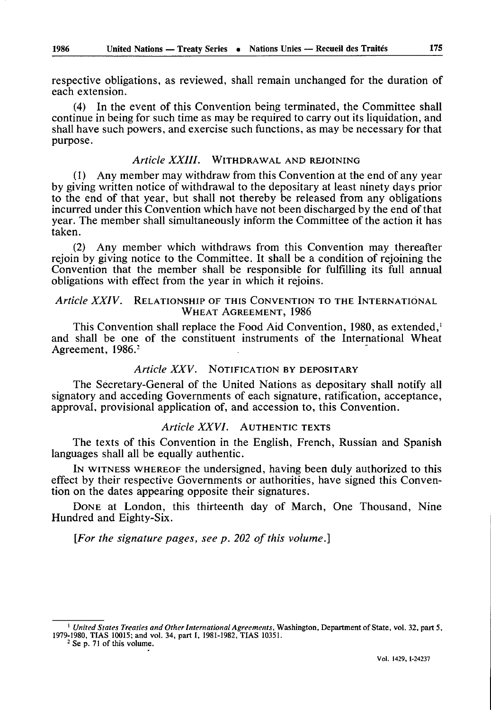respective obligations, as reviewed, shall remain unchanged for the duration of each extension.

(4) In the event of this Convention being terminated, the Committee shall continue in being for such time as may be required to carry out its liquidation, and shall have such powers, and exercise such functions, as may be necessary for that purpose.

# *Article XXIII.* WITHDRAWAL AND REJOINING

 $(1)$  Any member may withdraw from this Convention at the end of any year by giving written notice of withdrawal to the depositary at least ninety days prior to the end of that year, but shall not thereby be released from any obligations incurred under this Convention which have not been discharged by the end of that year. The member shall simultaneously inform the Committee of the action it has taken.

(2) Any member which withdraws from this Convention may thereafter rejoin by giving notice to the Committee. It shall be a condition of rejoining the Convention that the member shall be responsible for fulfilling its full annual obligations with effect from the year in which it rejoins.

#### *Article XXIV.* RELATIONSHIP OF THIS CONVENTION TO THE INTERNATIONAL WHEAT AGREEMENT, 1986

This Convention shall replace the Food Aid Convention, 1980, as extended,' and shall be one of the constituent instruments of the International Wheat Agreement, 1986.<sup>2</sup>

# *Article XXV.* NOTIFICATION BY DEPOSITARY

The Secretary-General of the United Nations as depositary shall notify all signatory and acceding Governments of each signature, ratification, acceptance, approval, provisional application of, and accession to, this Convention.

#### *Article XXVI.* AUTHENTIC TEXTS

The texts of this Convention in the English, French, Russian and Spanish languages shall all be equally authentic.

IN WITNESS WHEREOF the undersigned, having been duly authorized to this effect by their respective Governments or authorities, have signed this Conven tion on the dates appearing opposite their signatures.

DONE at London, this thirteenth day of March, One Thousand, Nine Hundred and Eighty-Six.

*[For the signature pages, see p. 202 of this volume.]*

<sup>&</sup>lt;sup>1</sup> United States Treaties and Other International Agreements, Washington, Department of State, vol. 32, part 5, 1979-1980, TIAS 10015; and vol. 34, part I, 1981-1982, TIAS 10351.<br><sup>2</sup> Se p. 71 of this volume.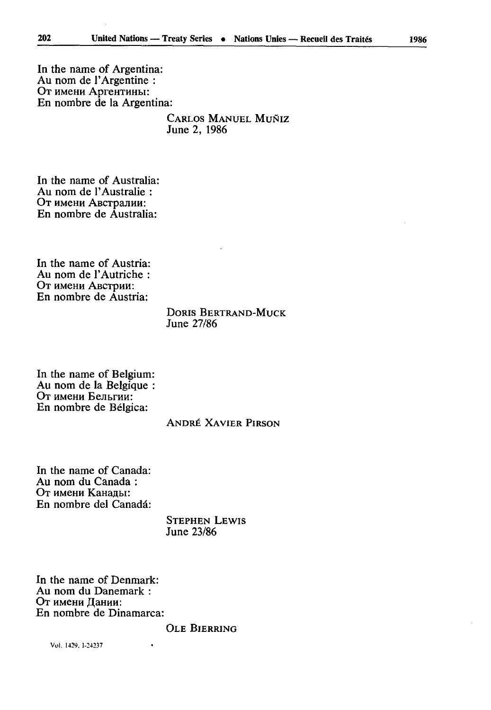In the name of Argentina: Au nom de l'Argentine : От имени Аргентины: En nombre de la Argentina:

> CARLOS MANUEL MUNIZ June 2, 1986

In the name of Australia: Au nom de l'Australie : От имени Австралии: En nombre de Australia:

In the name of Austria: Au nom de l'Autriche : **OT HMCHH AfiCTpHH:** En nombre de Austria:

### DORIS BERTRAND-MUCK June 27/86

In the name of Belgium: Au nom de la Belgique : От имени Бельгии: En nombre de Bélgica:

# ANDRÉ XAVIER PIRSON

In the name of Canada: Au nom du Canada : От имени Канады: En nombre del Canada:

> STEPHEN LEWIS June 23/86

In the name of Denmark: Au nom du Danemark : От имени Дании: En nombre de Dinamarca:

OLE BIERRING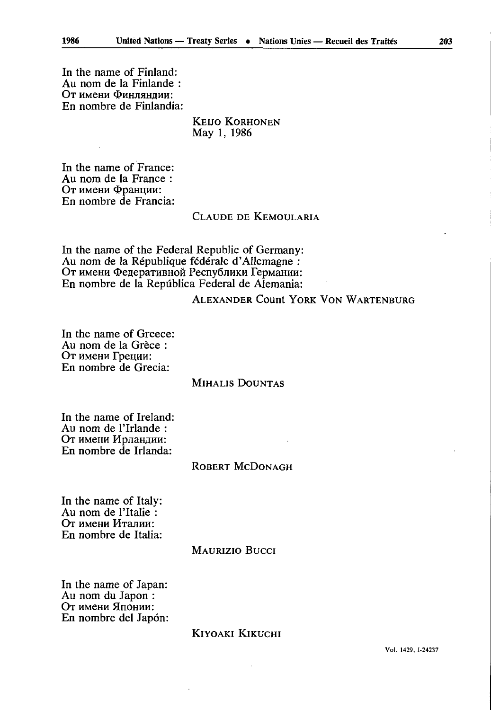In the name of Finland: Au nom de la Finlande : От имени Финлянлии: En nombre de Finlandia:

# KEIJO KORHONEN May 1, 1986

In the name of France: Au nom de la France : От имени Франции: En nombre de Francia:

# CLAUDE DE KEMOULARIA

In the name of the Federal Republic of Germany: Au nom de la République fédérale d'Allemagne : От имени Федеративной Республики Германии: En nombre de la Repûblica Federal de Alemania:

# ALEXANDER Count YORK VON WARTENBURG

In the name of Greece: Au nom de la Grèce : От имени Греции: En nombre de Grecia:

# MlHALIS DOUNTAS

In the name of Ireland: Au nom de l'Irlande : От имени Ирландии: En nombre de Irlanda:

# ROBERT MCDONAGH

In the name of Italy: Au nom de l'Italie : От имени Италии: En nombre de Italia:

#### MAURIZIO Bucci

In the name of Japan: Au nom du Japon : От имени Японии: En nombre del Japon:

#### KIYOAKI KIKUCHI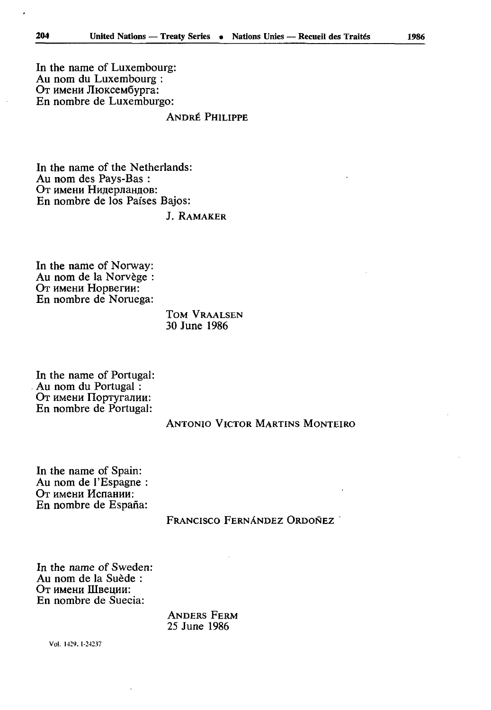In the name of Luxembourg: Au nom du Luxembourg : От имени Люксембурга: En nombre de Luxemburgo:

# ANDRÉ PHILIPPE

In the name of the Netherlands: Au nom des Pays-Bas : От имени Нидерландов: En nombre de los Países Bajos:

# J. RAMAKER

In the name of Norway: Au nom de la Norvège : От имени Норвегии: En nombre de Noruega:

#### TOM VRAALSEN 30 June 1986

In the name of Portugal: Au nom du Portugal : От имени Португалии: En nombre de Portugal:

# ANTONIO VICTOR MARTINS MONTEIRO

In the name of Spain: Au nom de l'Espagne : От имени Испании: En nombre de España:

# FRANCISCO FERNÁNDEZ ORDOÑEZ

In the name of Sweden: Au nom de la Suède : **OT HM6HH JllBeUJHH:** En nombre de Suecia:

> ANDERS FERM 25 June 1986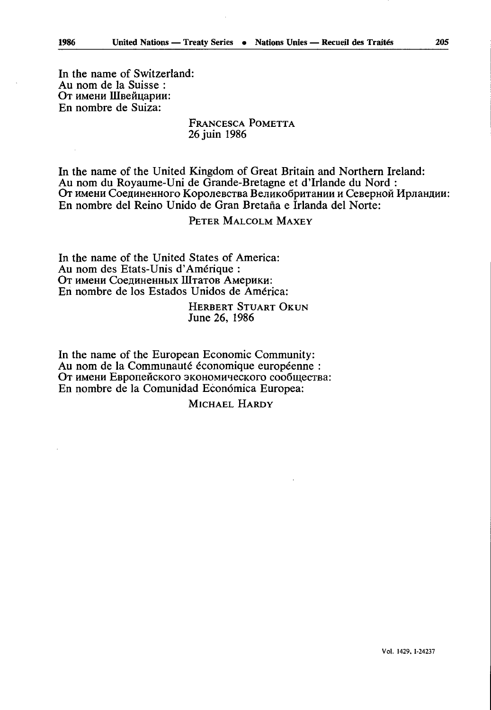In the name of Switzerland: Au nom de la Suisse : От имени Швейцарии: En nombre de Suiza:

# FRANCESCA POMETTA 26 juin 1986

In the name of the United Kingdom of Great Britain and Northern Ireland: Au nom du Royaume-Uni de Grande-Bretagne et d'Irlande du Nord : От имени Соединенного Королевства Великобритании и Северной Ирландии: En nombre del Reino Unido de Gran Bretaña e Irlanda del Norte:

PETER MALCOLM MAXEY

In the name of the United States of America: Au nom des Etats-Unis d'Amérique : От имени Соединенных Штатов Америки: En nombre de los Estados Unidos de America:

> HERBERT STUART OKUN June 26, 1986

In the name of the European Economic Community: Au nom de la Communauté économique européenne : От имени Европейского экономического сообщества: En nombre de la Comunidad Econômica Europea:

# MICHAEL HARDY